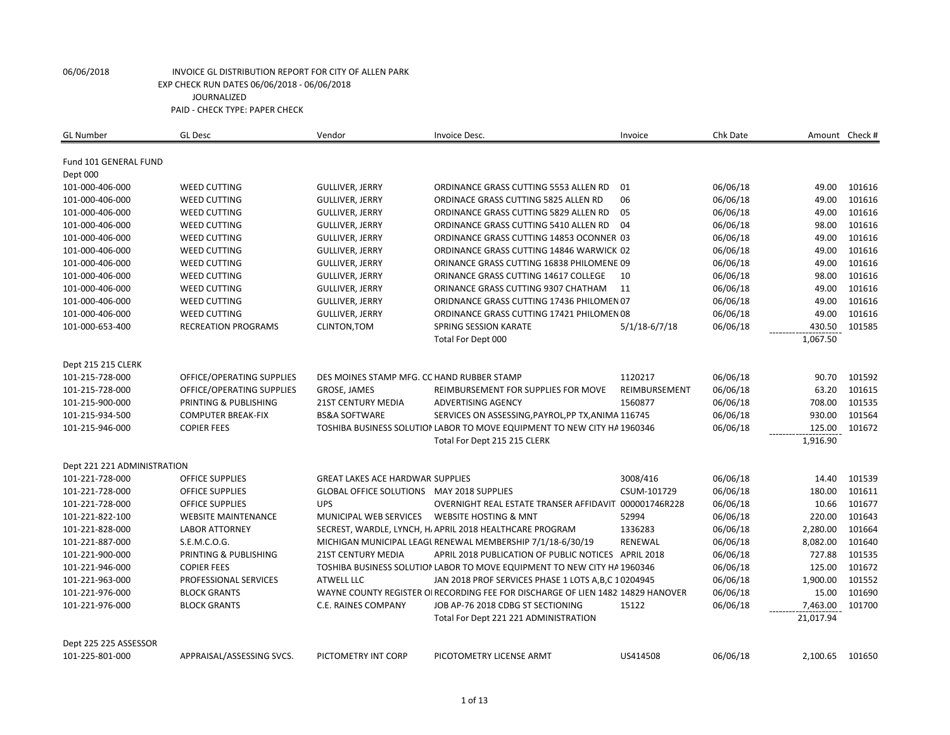| <b>GL Number</b>            | <b>GL Desc</b>             | Vendor                                           | Invoice Desc.                                                                   | Invoice       | Chk Date |           | Amount Check # |
|-----------------------------|----------------------------|--------------------------------------------------|---------------------------------------------------------------------------------|---------------|----------|-----------|----------------|
|                             |                            |                                                  |                                                                                 |               |          |           |                |
| Fund 101 GENERAL FUND       |                            |                                                  |                                                                                 |               |          |           |                |
| Dept 000<br>101-000-406-000 | <b>WEED CUTTING</b>        | <b>GULLIVER, JERRY</b>                           | ORDINANCE GRASS CUTTING 5553 ALLEN RD                                           | 01            | 06/06/18 | 49.00     | 101616         |
| 101-000-406-000             | <b>WEED CUTTING</b>        | <b>GULLIVER, JERRY</b>                           | ORDINACE GRASS CUTTING 5825 ALLEN RD                                            | 06            | 06/06/18 | 49.00     | 101616         |
|                             |                            |                                                  |                                                                                 |               |          |           | 101616         |
| 101-000-406-000             | <b>WEED CUTTING</b>        | <b>GULLIVER, JERRY</b>                           | ORDINANCE GRASS CUTTING 5829 ALLEN RD                                           | 05            | 06/06/18 | 49.00     |                |
| 101-000-406-000             | <b>WEED CUTTING</b>        | <b>GULLIVER, JERRY</b>                           | ORDINANCE GRASS CUTTING 5410 ALLEN RD                                           | 04            | 06/06/18 | 98.00     | 101616         |
| 101-000-406-000             | <b>WEED CUTTING</b>        | <b>GULLIVER, JERRY</b>                           | ORDINANCE GRASS CUTTING 14853 OCONNER 03                                        |               | 06/06/18 | 49.00     | 101616         |
| 101-000-406-000             | <b>WEED CUTTING</b>        | <b>GULLIVER, JERRY</b>                           | ORDINANCE GRASS CUTTING 14846 WARWICK 02                                        |               | 06/06/18 | 49.00     | 101616         |
| 101-000-406-000             | <b>WEED CUTTING</b>        | <b>GULLIVER, JERRY</b>                           | ORINANCE GRASS CUTTING 16838 PHILOMENE 09                                       |               | 06/06/18 | 49.00     | 101616         |
| 101-000-406-000             | <b>WEED CUTTING</b>        | <b>GULLIVER, JERRY</b>                           | ORINANCE GRASS CUTTING 14617 COLLEGE                                            | 10            | 06/06/18 | 98.00     | 101616         |
| 101-000-406-000             | <b>WEED CUTTING</b>        | <b>GULLIVER, JERRY</b>                           | ORINANCE GRASS CUTTING 9307 CHATHAM                                             | 11            | 06/06/18 | 49.00     | 101616         |
| 101-000-406-000             | <b>WEED CUTTING</b>        | <b>GULLIVER, JERRY</b>                           | ORIDNANCE GRASS CUTTING 17436 PHILOMEN 07                                       |               | 06/06/18 | 49.00     | 101616         |
| 101-000-406-000             | <b>WEED CUTTING</b>        | <b>GULLIVER, JERRY</b>                           | ORDINANCE GRASS CUTTING 17421 PHILOMEN 08                                       |               | 06/06/18 | 49.00     | 101616         |
| 101-000-653-400             | <b>RECREATION PROGRAMS</b> | CLINTON, TOM                                     | <b>SPRING SESSION KARATE</b>                                                    | 5/1/18-6/7/18 | 06/06/18 | 430.50    | 101585         |
|                             |                            |                                                  | Total For Dept 000                                                              |               |          | 1,067.50  |                |
| Dept 215 215 CLERK          |                            |                                                  |                                                                                 |               |          |           |                |
| 101-215-728-000             | OFFICE/OPERATING SUPPLIES  | DES MOINES STAMP MFG. CC HAND RUBBER STAMP       |                                                                                 | 1120217       | 06/06/18 | 90.70     | 101592         |
| 101-215-728-000             | OFFICE/OPERATING SUPPLIES  | GROSE, JAMES                                     | REIMBURSEMENT FOR SUPPLIES FOR MOVE                                             | REIMBURSEMENT | 06/06/18 | 63.20     | 101615         |
| 101-215-900-000             | PRINTING & PUBLISHING      | <b>21ST CENTURY MEDIA</b>                        | <b>ADVERTISING AGENCY</b>                                                       | 1560877       | 06/06/18 | 708.00    | 101535         |
| 101-215-934-500             | <b>COMPUTER BREAK-FIX</b>  | <b>BS&amp;A SOFTWARE</b>                         | SERVICES ON ASSESSING, PAYROL, PP TX, ANIMA 116745                              |               | 06/06/18 | 930.00    | 101564         |
| 101-215-946-000             | <b>COPIER FEES</b>         |                                                  | TOSHIBA BUSINESS SOLUTION LABOR TO MOVE EQUIPMENT TO NEW CITY HA 1960346        |               | 06/06/18 | 125.00    | 101672         |
|                             |                            |                                                  | Total For Dept 215 215 CLERK                                                    |               |          | 1,916.90  |                |
|                             |                            |                                                  |                                                                                 |               |          |           |                |
| Dept 221 221 ADMINISTRATION |                            |                                                  |                                                                                 |               |          |           |                |
| 101-221-728-000             | <b>OFFICE SUPPLIES</b>     | <b>GREAT LAKES ACE HARDWAR SUPPLIES</b>          |                                                                                 | 3008/416      | 06/06/18 | 14.40     | 101539         |
| 101-221-728-000             | <b>OFFICE SUPPLIES</b>     | <b>GLOBAL OFFICE SOLUTIONS MAY 2018 SUPPLIES</b> |                                                                                 | CSUM-101729   | 06/06/18 | 180.00    | 101611         |
| 101-221-728-000             | <b>OFFICE SUPPLIES</b>     | <b>UPS</b>                                       | OVERNIGHT REAL ESTATE TRANSER AFFIDAVIT 000001746R228                           |               | 06/06/18 | 10.66     | 101677         |
| 101-221-822-100             | <b>WEBSITE MAINTENANCE</b> | MUNICIPAL WEB SERVICES                           | <b>WEBSITE HOSTING &amp; MNT</b>                                                | 52994         | 06/06/18 | 220.00    | 101643         |
| 101-221-828-000             | <b>LABOR ATTORNEY</b>      |                                                  | SECREST, WARDLE, LYNCH, H. APRIL 2018 HEALTHCARE PROGRAM                        | 1336283       | 06/06/18 | 2,280.00  | 101664         |
| 101-221-887-000             | S.E.M.C.O.G.               |                                                  | MICHIGAN MUNICIPAL LEAGL RENEWAL MEMBERSHIP 7/1/18-6/30/19                      | RENEWAL       | 06/06/18 | 8,082.00  | 101640         |
| 101-221-900-000             | PRINTING & PUBLISHING      | <b>21ST CENTURY MEDIA</b>                        | APRIL 2018 PUBLICATION OF PUBLIC NOTICES APRIL 2018                             |               | 06/06/18 | 727.88    | 101535         |
| 101-221-946-000             | <b>COPIER FEES</b>         |                                                  | TOSHIBA BUSINESS SOLUTION LABOR TO MOVE EQUIPMENT TO NEW CITY HA 1960346        |               | 06/06/18 | 125.00    | 101672         |
| 101-221-963-000             | PROFESSIONAL SERVICES      | <b>ATWELL LLC</b>                                | JAN 2018 PROF SERVICES PHASE 1 LOTS A, B, C 10204945                            |               | 06/06/18 | 1,900.00  | 101552         |
| 101-221-976-000             | <b>BLOCK GRANTS</b>        |                                                  | WAYNE COUNTY REGISTER OI RECORDING FEE FOR DISCHARGE OF LIEN 1482 14829 HANOVER |               | 06/06/18 | 15.00     | 101690         |
| 101-221-976-000             | <b>BLOCK GRANTS</b>        | C.E. RAINES COMPANY                              | JOB AP-76 2018 CDBG ST SECTIONING                                               | 15122         | 06/06/18 | 7,463.00  | 101700         |
|                             |                            |                                                  | Total For Dept 221 221 ADMINISTRATION                                           |               |          | 21,017.94 |                |
| Dept 225 225 ASSESSOR       |                            |                                                  |                                                                                 |               |          |           |                |
| 101-225-801-000             | APPRAISAL/ASSESSING SVCS.  | PICTOMETRY INT CORP                              | PICOTOMETRY LICENSE ARMT                                                        | US414508      | 06/06/18 | 2,100.65  | 101650         |
|                             |                            |                                                  |                                                                                 |               |          |           |                |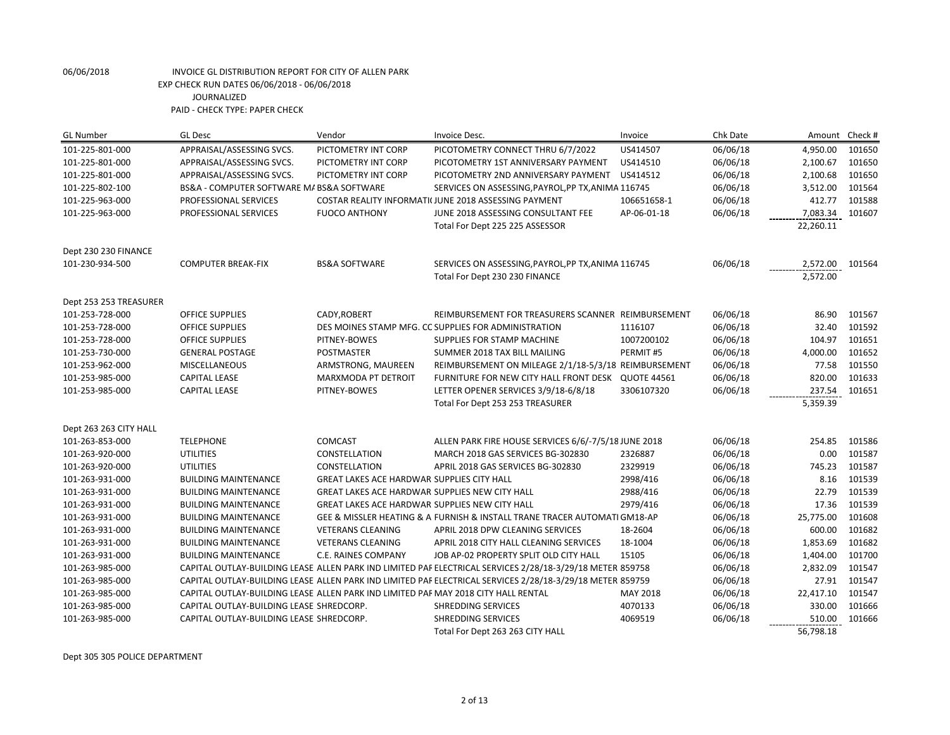| <b>GL Number</b>       | <b>GL Desc</b>                                                                     | Vendor                                                | Invoice Desc.                                                                                             | Invoice     | Chk Date | Amount    | Check # |
|------------------------|------------------------------------------------------------------------------------|-------------------------------------------------------|-----------------------------------------------------------------------------------------------------------|-------------|----------|-----------|---------|
| 101-225-801-000        | APPRAISAL/ASSESSING SVCS.                                                          | PICTOMETRY INT CORP                                   | PICOTOMETRY CONNECT THRU 6/7/2022                                                                         | US414507    | 06/06/18 | 4,950.00  | 101650  |
| 101-225-801-000        | APPRAISAL/ASSESSING SVCS.                                                          | PICTOMETRY INT CORP                                   | PICOTOMETRY 1ST ANNIVERSARY PAYMENT                                                                       | US414510    | 06/06/18 | 2,100.67  | 101650  |
| 101-225-801-000        | APPRAISAL/ASSESSING SVCS.                                                          | PICTOMETRY INT CORP                                   | PICOTOMETRY 2ND ANNIVERSARY PAYMENT                                                                       | US414512    | 06/06/18 | 2,100.68  | 101650  |
| 101-225-802-100        | BS&A - COMPUTER SOFTWARE M/ BS&A SOFTWARE                                          |                                                       | SERVICES ON ASSESSING, PAYROL, PP TX, ANIMA 116745                                                        |             | 06/06/18 | 3,512.00  | 101564  |
| 101-225-963-000        | PROFESSIONAL SERVICES                                                              |                                                       | COSTAR REALITY INFORMATI(JUNE 2018 ASSESSING PAYMENT                                                      | 106651658-1 | 06/06/18 | 412.77    | 101588  |
| 101-225-963-000        | PROFESSIONAL SERVICES                                                              | <b>FUOCO ANTHONY</b>                                  | JUNE 2018 ASSESSING CONSULTANT FEE                                                                        | AP-06-01-18 | 06/06/18 | 7,083.34  | 101607  |
|                        |                                                                                    |                                                       | Total For Dept 225 225 ASSESSOR                                                                           |             |          | 22,260.11 |         |
| Dept 230 230 FINANCE   |                                                                                    |                                                       |                                                                                                           |             |          |           |         |
| 101-230-934-500        | <b>COMPUTER BREAK-FIX</b>                                                          | <b>BS&amp;A SOFTWARE</b>                              | SERVICES ON ASSESSING, PAYROL, PP TX, ANIMA 116745                                                        |             | 06/06/18 | 2,572.00  | 101564  |
|                        |                                                                                    |                                                       | Total For Dept 230 230 FINANCE                                                                            |             |          | 2,572.00  |         |
| Dept 253 253 TREASURER |                                                                                    |                                                       |                                                                                                           |             |          |           |         |
| 101-253-728-000        | <b>OFFICE SUPPLIES</b>                                                             | CADY, ROBERT                                          | REIMBURSEMENT FOR TREASURERS SCANNER REIMBURSEMENT                                                        |             | 06/06/18 | 86.90     | 101567  |
| 101-253-728-000        | <b>OFFICE SUPPLIES</b>                                                             |                                                       | DES MOINES STAMP MFG. CC SUPPLIES FOR ADMINISTRATION                                                      | 1116107     | 06/06/18 | 32.40     | 101592  |
| 101-253-728-000        | <b>OFFICE SUPPLIES</b>                                                             | PITNEY-BOWES                                          | SUPPLIES FOR STAMP MACHINE                                                                                | 1007200102  | 06/06/18 | 104.97    | 101651  |
| 101-253-730-000        | <b>GENERAL POSTAGE</b>                                                             | POSTMASTER                                            | SUMMER 2018 TAX BILL MAILING                                                                              | PERMIT#5    | 06/06/18 | 4,000.00  | 101652  |
| 101-253-962-000        | <b>MISCELLANEOUS</b>                                                               | ARMSTRONG, MAUREEN                                    | REIMBURSEMENT ON MILEAGE 2/1/18-5/3/18 REIMBURSEMENT                                                      |             | 06/06/18 | 77.58     | 101550  |
| 101-253-985-000        | <b>CAPITAL LEASE</b>                                                               | MARXMODA PT DETROIT                                   | FURNITURE FOR NEW CITY HALL FRONT DESK QUOTE 44561                                                        |             | 06/06/18 | 820.00    | 101633  |
| 101-253-985-000        | <b>CAPITAL LEASE</b>                                                               | PITNEY-BOWES                                          | LETTER OPENER SERVICES 3/9/18-6/8/18                                                                      | 3306107320  | 06/06/18 | 237.54    | 101651  |
|                        |                                                                                    |                                                       | Total For Dept 253 253 TREASURER                                                                          |             |          | 5,359.39  |         |
| Dept 263 263 CITY HALL |                                                                                    |                                                       |                                                                                                           |             |          |           |         |
| 101-263-853-000        | <b>TELEPHONE</b>                                                                   | <b>COMCAST</b>                                        | ALLEN PARK FIRE HOUSE SERVICES 6/6/-7/5/18 JUNE 2018                                                      |             | 06/06/18 | 254.85    | 101586  |
| 101-263-920-000        | <b>UTILITIES</b>                                                                   | CONSTELLATION                                         | MARCH 2018 GAS SERVICES BG-302830                                                                         | 2326887     | 06/06/18 | 0.00      | 101587  |
| 101-263-920-000        | <b>UTILITIES</b>                                                                   | CONSTELLATION                                         | APRIL 2018 GAS SERVICES BG-302830                                                                         | 2329919     | 06/06/18 | 745.23    | 101587  |
| 101-263-931-000        | <b>BUILDING MAINTENANCE</b>                                                        | <b>GREAT LAKES ACE HARDWAR SUPPLIES CITY HALL</b>     |                                                                                                           | 2998/416    | 06/06/18 | 8.16      | 101539  |
| 101-263-931-000        | <b>BUILDING MAINTENANCE</b>                                                        | <b>GREAT LAKES ACE HARDWAR SUPPLIES NEW CITY HALL</b> |                                                                                                           | 2988/416    | 06/06/18 | 22.79     | 101539  |
| 101-263-931-000        | <b>BUILDING MAINTENANCE</b>                                                        | GREAT LAKES ACE HARDWAR SUPPLIES NEW CITY HALL        |                                                                                                           | 2979/416    | 06/06/18 | 17.36     | 101539  |
| 101-263-931-000        | <b>BUILDING MAINTENANCE</b>                                                        |                                                       | GEE & MISSLER HEATING & A FURNISH & INSTALL TRANE TRACER AUTOMATI GM18-AP                                 |             | 06/06/18 | 25,775.00 | 101608  |
| 101-263-931-000        | <b>BUILDING MAINTENANCE</b>                                                        | <b>VETERANS CLEANING</b>                              | APRIL 2018 DPW CLEANING SERVICES                                                                          | 18-2604     | 06/06/18 | 600.00    | 101682  |
| 101-263-931-000        | <b>BUILDING MAINTENANCE</b>                                                        | <b>VETERANS CLEANING</b>                              | APRIL 2018 CITY HALL CLEANING SERVICES                                                                    | 18-1004     | 06/06/18 | 1,853.69  | 101682  |
| 101-263-931-000        | <b>BUILDING MAINTENANCE</b>                                                        | C.E. RAINES COMPANY                                   | JOB AP-02 PROPERTY SPLIT OLD CITY HALL                                                                    | 15105       | 06/06/18 | 1,404.00  | 101700  |
| 101-263-985-000        |                                                                                    |                                                       | CAPITAL OUTLAY-BUILDING LEASE ALLEN PARK IND LIMITED PAF ELECTRICAL SERVICES 2/28/18-3/29/18 METER 859758 |             | 06/06/18 | 2,832.09  | 101547  |
| 101-263-985-000        |                                                                                    |                                                       | CAPITAL OUTLAY-BUILDING LEASE ALLEN PARK IND LIMITED PAF ELECTRICAL SERVICES 2/28/18-3/29/18 METER 859759 |             | 06/06/18 | 27.91     | 101547  |
| 101-263-985-000        | CAPITAL OUTLAY-BUILDING LEASE ALLEN PARK IND LIMITED PAF MAY 2018 CITY HALL RENTAL |                                                       |                                                                                                           | MAY 2018    | 06/06/18 | 22,417.10 | 101547  |
| 101-263-985-000        | CAPITAL OUTLAY-BUILDING LEASE SHREDCORP.                                           |                                                       | <b>SHREDDING SERVICES</b>                                                                                 | 4070133     | 06/06/18 | 330.00    | 101666  |
| 101-263-985-000        | CAPITAL OUTLAY-BUILDING LEASE SHREDCORP.                                           |                                                       | <b>SHREDDING SERVICES</b>                                                                                 | 4069519     | 06/06/18 | 510.00    | 101666  |
|                        |                                                                                    |                                                       | Total For Dept 263 263 CITY HALL                                                                          |             |          | 56,798.18 |         |

Dept 305 305 POLICE DEPARTMENT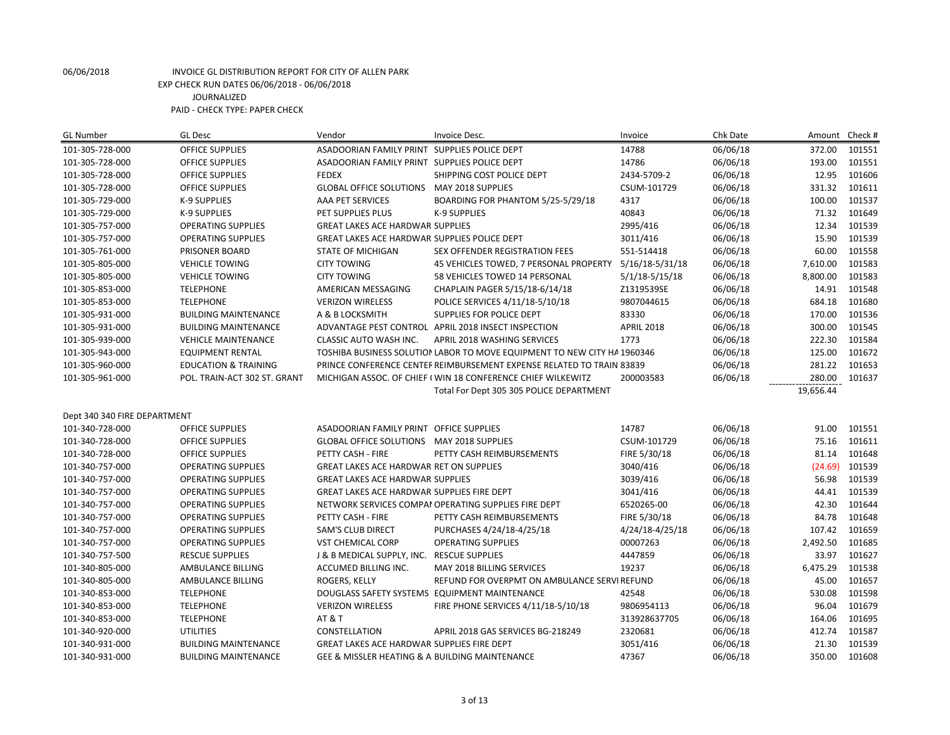| <b>GL Number</b>             | <b>GL Desc</b>                  | Vendor                                            | Invoice Desc.                                                            | Invoice            | Chk Date | Amount    | Check # |
|------------------------------|---------------------------------|---------------------------------------------------|--------------------------------------------------------------------------|--------------------|----------|-----------|---------|
| 101-305-728-000              | <b>OFFICE SUPPLIES</b>          | ASADOORIAN FAMILY PRINT SUPPLIES POLICE DEPT      |                                                                          | 14788              | 06/06/18 | 372.00    | 101551  |
| 101-305-728-000              | <b>OFFICE SUPPLIES</b>          | ASADOORIAN FAMILY PRINT SUPPLIES POLICE DEPT      |                                                                          | 14786              | 06/06/18 | 193.00    | 101551  |
| 101-305-728-000              | <b>OFFICE SUPPLIES</b>          | <b>FEDEX</b>                                      | SHIPPING COST POLICE DEPT                                                | 2434-5709-2        | 06/06/18 | 12.95     | 101606  |
| 101-305-728-000              | <b>OFFICE SUPPLIES</b>          | GLOBAL OFFICE SOLUTIONS MAY 2018 SUPPLIES         |                                                                          | CSUM-101729        | 06/06/18 | 331.32    | 101611  |
| 101-305-729-000              | K-9 SUPPLIES                    | AAA PET SERVICES                                  | BOARDING FOR PHANTOM 5/25-5/29/18                                        | 4317               | 06/06/18 | 100.00    | 101537  |
| 101-305-729-000              | <b>K-9 SUPPLIES</b>             | PET SUPPLIES PLUS                                 | <b>K-9 SUPPLIES</b>                                                      | 40843              | 06/06/18 | 71.32     | 101649  |
| 101-305-757-000              | <b>OPERATING SUPPLIES</b>       | GREAT LAKES ACE HARDWAR SUPPLIES                  |                                                                          | 2995/416           | 06/06/18 | 12.34     | 101539  |
| 101-305-757-000              | <b>OPERATING SUPPLIES</b>       | GREAT LAKES ACE HARDWAR SUPPLIES POLICE DEPT      |                                                                          | 3011/416           | 06/06/18 | 15.90     | 101539  |
| 101-305-761-000              | PRISONER BOARD                  | <b>STATE OF MICHIGAN</b>                          | SEX OFFENDER REGISTRATION FEES                                           | 551-514418         | 06/06/18 | 60.00     | 101558  |
| 101-305-805-000              | <b>VEHICLE TOWING</b>           | <b>CITY TOWING</b>                                | 45 VEHICLES TOWED, 7 PERSONAL PROPERTY                                   | 5/16/18-5/31/18    | 06/06/18 | 7,610.00  | 101583  |
| 101-305-805-000              | <b>VEHICLE TOWING</b>           | <b>CITY TOWING</b>                                | 58 VEHICLES TOWED 14 PERSONAL                                            | $5/1/18 - 5/15/18$ | 06/06/18 | 8,800.00  | 101583  |
| 101-305-853-000              | <b>TELEPHONE</b>                | AMERICAN MESSAGING                                | CHAPLAIN PAGER 5/15/18-6/14/18                                           | Z1319539SE         | 06/06/18 | 14.91     | 101548  |
| 101-305-853-000              | <b>TELEPHONE</b>                | <b>VERIZON WIRELESS</b>                           | POLICE SERVICES 4/11/18-5/10/18                                          | 9807044615         | 06/06/18 | 684.18    | 101680  |
| 101-305-931-000              | <b>BUILDING MAINTENANCE</b>     | A & B LOCKSMITH                                   | <b>SUPPLIES FOR POLICE DEPT</b>                                          | 83330              | 06/06/18 | 170.00    | 101536  |
| 101-305-931-000              | <b>BUILDING MAINTENANCE</b>     |                                                   | ADVANTAGE PEST CONTROL APRIL 2018 INSECT INSPECTION                      | <b>APRIL 2018</b>  | 06/06/18 | 300.00    | 101545  |
| 101-305-939-000              | <b>VEHICLE MAINTENANCE</b>      | CLASSIC AUTO WASH INC.                            | APRIL 2018 WASHING SERVICES                                              | 1773               | 06/06/18 | 222.30    | 101584  |
| 101-305-943-000              | <b>EQUIPMENT RENTAL</b>         |                                                   | TOSHIBA BUSINESS SOLUTION LABOR TO MOVE EQUIPMENT TO NEW CITY HA 1960346 |                    | 06/06/18 | 125.00    | 101672  |
| 101-305-960-000              | <b>EDUCATION &amp; TRAINING</b> |                                                   | PRINCE CONFERENCE CENTEF REIMBURSEMENT EXPENSE RELATED TO TRAIN 83839    |                    | 06/06/18 | 281.22    | 101653  |
| 101-305-961-000              | POL. TRAIN-ACT 302 ST. GRANT    |                                                   | MICHIGAN ASSOC. OF CHIEF (WIN 18 CONFERENCE CHIEF WILKEWITZ              | 200003583          | 06/06/18 | 280.00    | 101637  |
|                              |                                 |                                                   | Total For Dept 305 305 POLICE DEPARTMENT                                 |                    |          | 19,656.44 |         |
|                              |                                 |                                                   |                                                                          |                    |          |           |         |
| Dept 340 340 FIRE DEPARTMENT |                                 |                                                   |                                                                          |                    |          |           |         |
| 101-340-728-000              | <b>OFFICE SUPPLIES</b>          | ASADOORIAN FAMILY PRINT OFFICE SUPPLIES           |                                                                          | 14787              | 06/06/18 | 91.00     | 101551  |
| 101-340-728-000              | <b>OFFICE SUPPLIES</b>          | GLOBAL OFFICE SOLUTIONS MAY 2018 SUPPLIES         |                                                                          | CSUM-101729        | 06/06/18 | 75.16     | 101611  |
| 101-340-728-000              | <b>OFFICE SUPPLIES</b>          | PETTY CASH - FIRE                                 | PETTY CASH REIMBURSEMENTS                                                | FIRE 5/30/18       | 06/06/18 | 81.14     | 101648  |
| 101-340-757-000              | OPERATING SUPPLIES              | <b>GREAT LAKES ACE HARDWAR RET ON SUPPLIES</b>    |                                                                          | 3040/416           | 06/06/18 | (24.69)   | 101539  |
| 101-340-757-000              | <b>OPERATING SUPPLIES</b>       | <b>GREAT LAKES ACE HARDWAR SUPPLIES</b>           |                                                                          | 3039/416           | 06/06/18 | 56.98     | 101539  |
| 101-340-757-000              | <b>OPERATING SUPPLIES</b>       | <b>GREAT LAKES ACE HARDWAR SUPPLIES FIRE DEPT</b> |                                                                          | 3041/416           | 06/06/18 | 44.41     | 101539  |
| 101-340-757-000              | <b>OPERATING SUPPLIES</b>       |                                                   | NETWORK SERVICES COMPAI OPERATING SUPPLIES FIRE DEPT                     | 6520265-00         | 06/06/18 | 42.30     | 101644  |
| 101-340-757-000              | <b>OPERATING SUPPLIES</b>       | PETTY CASH - FIRE                                 | PETTY CASH REIMBURSEMENTS                                                | FIRE 5/30/18       | 06/06/18 | 84.78     | 101648  |
| 101-340-757-000              | <b>OPERATING SUPPLIES</b>       | <b>SAM'S CLUB DIRECT</b>                          | PURCHASES 4/24/18-4/25/18                                                | 4/24/18-4/25/18    | 06/06/18 | 107.42    | 101659  |
| 101-340-757-000              | <b>OPERATING SUPPLIES</b>       | <b>VST CHEMICAL CORP</b>                          | <b>OPERATING SUPPLIES</b>                                                | 00007263           | 06/06/18 | 2,492.50  | 101685  |
| 101-340-757-500              | <b>RESCUE SUPPLIES</b>          | J & B MEDICAL SUPPLY, INC. RESCUE SUPPLIES        |                                                                          | 4447859            | 06/06/18 | 33.97     | 101627  |
| 101-340-805-000              | AMBULANCE BILLING               | ACCUMED BILLING INC.                              | <b>MAY 2018 BILLING SERVICES</b>                                         | 19237              | 06/06/18 | 6,475.29  | 101538  |
| 101-340-805-000              | AMBULANCE BILLING               | ROGERS, KELLY                                     | REFUND FOR OVERPMT ON AMBULANCE SERVI REFUND                             |                    | 06/06/18 | 45.00     | 101657  |
| 101-340-853-000              | <b>TELEPHONE</b>                |                                                   | DOUGLASS SAFETY SYSTEMS EQUIPMENT MAINTENANCE                            | 42548              | 06/06/18 | 530.08    | 101598  |
| 101-340-853-000              | <b>TELEPHONE</b>                | <b>VERIZON WIRELESS</b>                           | FIRE PHONE SERVICES 4/11/18-5/10/18                                      | 9806954113         | 06/06/18 | 96.04     | 101679  |
| 101-340-853-000              | <b>TELEPHONE</b>                | AT&T                                              |                                                                          | 313928637705       | 06/06/18 | 164.06    | 101695  |
| 101-340-920-000              | <b>UTILITIES</b>                | CONSTELLATION                                     | APRIL 2018 GAS SERVICES BG-218249                                        | 2320681            | 06/06/18 | 412.74    | 101587  |
| 101-340-931-000              | <b>BUILDING MAINTENANCE</b>     | <b>GREAT LAKES ACE HARDWAR SUPPLIES FIRE DEPT</b> |                                                                          | 3051/416           | 06/06/18 | 21.30     | 101539  |
| 101-340-931-000              | <b>BUILDING MAINTENANCE</b>     | GEE & MISSLER HEATING & A BUILDING MAINTENANCE    |                                                                          | 47367              | 06/06/18 | 350.00    | 101608  |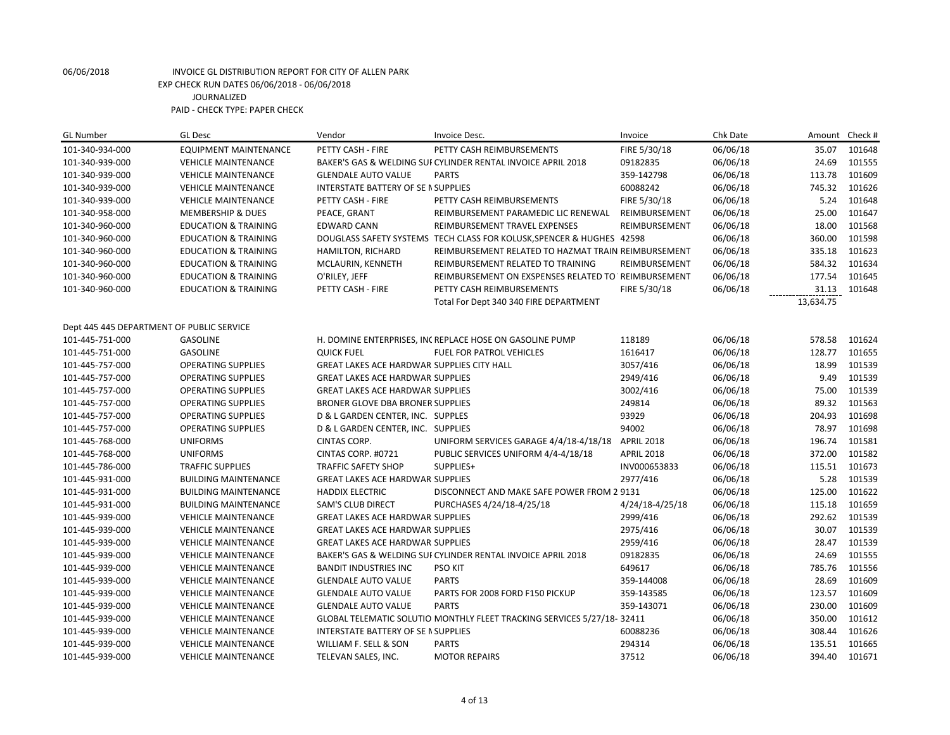| <b>GL Number</b>                          | <b>GL Desc</b>                  | Vendor                                            | Invoice Desc.                                                           | Invoice           | Chk Date | Amount    | Check # |
|-------------------------------------------|---------------------------------|---------------------------------------------------|-------------------------------------------------------------------------|-------------------|----------|-----------|---------|
| 101-340-934-000                           | <b>EQUIPMENT MAINTENANCE</b>    | PETTY CASH - FIRE                                 | PETTY CASH REIMBURSEMENTS                                               | FIRE 5/30/18      | 06/06/18 | 35.07     | 101648  |
| 101-340-939-000                           | <b>VEHICLE MAINTENANCE</b>      |                                                   | BAKER'S GAS & WELDING SUI CYLINDER RENTAL INVOICE APRIL 2018            | 09182835          | 06/06/18 | 24.69     | 101555  |
| 101-340-939-000                           | <b>VEHICLE MAINTENANCE</b>      | <b>GLENDALE AUTO VALUE</b>                        | <b>PARTS</b>                                                            | 359-142798        | 06/06/18 | 113.78    | 101609  |
| 101-340-939-000                           | <b>VEHICLE MAINTENANCE</b>      | INTERSTATE BATTERY OF SE IN SUPPLIES              |                                                                         | 60088242          | 06/06/18 | 745.32    | 101626  |
| 101-340-939-000                           | <b>VEHICLE MAINTENANCE</b>      | PETTY CASH - FIRE                                 | PETTY CASH REIMBURSEMENTS                                               | FIRE 5/30/18      | 06/06/18 | 5.24      | 101648  |
| 101-340-958-000                           | <b>MEMBERSHIP &amp; DUES</b>    | PEACE, GRANT                                      | REIMBURSEMENT PARAMEDIC LIC RENEWAL                                     | REIMBURSEMENT     | 06/06/18 | 25.00     | 101647  |
| 101-340-960-000                           | <b>EDUCATION &amp; TRAINING</b> | <b>EDWARD CANN</b>                                | REIMBURSEMENT TRAVEL EXPENSES                                           | REIMBURSEMENT     | 06/06/18 | 18.00     | 101568  |
| 101-340-960-000                           | <b>EDUCATION &amp; TRAINING</b> |                                                   | DOUGLASS SAFETY SYSTEMS TECH CLASS FOR KOLUSK, SPENCER & HUGHES 42598   |                   | 06/06/18 | 360.00    | 101598  |
| 101-340-960-000                           | <b>EDUCATION &amp; TRAINING</b> | HAMILTON, RICHARD                                 | REIMBURSEMENT RELATED TO HAZMAT TRAIN REIMBURSEMENT                     |                   | 06/06/18 | 335.18    | 101623  |
| 101-340-960-000                           | <b>EDUCATION &amp; TRAINING</b> | MCLAURIN, KENNETH                                 | REIMBURSEMENT RELATED TO TRAINING                                       | REIMBURSEMENT     | 06/06/18 | 584.32    | 101634  |
| 101-340-960-000                           | <b>EDUCATION &amp; TRAINING</b> | O'RILEY, JEFF                                     | REIMBURSEMENT ON EXSPENSES RELATED TO REIMBURSEMENT                     |                   | 06/06/18 | 177.54    | 101645  |
| 101-340-960-000                           | <b>EDUCATION &amp; TRAINING</b> | PETTY CASH - FIRE                                 | PETTY CASH REIMBURSEMENTS                                               | FIRE 5/30/18      | 06/06/18 | 31.13     | 101648  |
|                                           |                                 |                                                   | Total For Dept 340 340 FIRE DEPARTMENT                                  |                   |          | 13,634.75 |         |
|                                           |                                 |                                                   |                                                                         |                   |          |           |         |
| Dept 445 445 DEPARTMENT OF PUBLIC SERVICE |                                 |                                                   |                                                                         |                   |          |           |         |
| 101-445-751-000                           | <b>GASOLINE</b>                 |                                                   | H. DOMINE ENTERPRISES, INCREPLACE HOSE ON GASOLINE PUMP                 | 118189            | 06/06/18 | 578.58    | 101624  |
| 101-445-751-000                           | <b>GASOLINE</b>                 | <b>QUICK FUEL</b>                                 | <b>FUEL FOR PATROL VEHICLES</b>                                         | 1616417           | 06/06/18 | 128.77    | 101655  |
| 101-445-757-000                           | <b>OPERATING SUPPLIES</b>       | <b>GREAT LAKES ACE HARDWAR SUPPLIES CITY HALL</b> |                                                                         | 3057/416          | 06/06/18 | 18.99     | 101539  |
| 101-445-757-000                           | <b>OPERATING SUPPLIES</b>       | <b>GREAT LAKES ACE HARDWAR SUPPLIES</b>           |                                                                         | 2949/416          | 06/06/18 | 9.49      | 101539  |
| 101-445-757-000                           | <b>OPERATING SUPPLIES</b>       | <b>GREAT LAKES ACE HARDWAR SUPPLIES</b>           |                                                                         | 3002/416          | 06/06/18 | 75.00     | 101539  |
| 101-445-757-000                           | <b>OPERATING SUPPLIES</b>       | BRONER GLOVE DBA BRONER SUPPLIES                  |                                                                         | 249814            | 06/06/18 | 89.32     | 101563  |
| 101-445-757-000                           | <b>OPERATING SUPPLIES</b>       | D & L GARDEN CENTER, INC. SUPPLES                 |                                                                         | 93929             | 06/06/18 | 204.93    | 101698  |
| 101-445-757-000                           | <b>OPERATING SUPPLIES</b>       | D & L GARDEN CENTER, INC. SUPPLIES                |                                                                         | 94002             | 06/06/18 | 78.97     | 101698  |
| 101-445-768-000                           | <b>UNIFORMS</b>                 | CINTAS CORP.                                      | UNIFORM SERVICES GARAGE 4/4/18-4/18/18                                  | <b>APRIL 2018</b> | 06/06/18 | 196.74    | 101581  |
| 101-445-768-000                           | <b>UNIFORMS</b>                 | CINTAS CORP. #0721                                | PUBLIC SERVICES UNIFORM 4/4-4/18/18                                     | <b>APRIL 2018</b> | 06/06/18 | 372.00    | 101582  |
| 101-445-786-000                           | <b>TRAFFIC SUPPLIES</b>         | <b>TRAFFIC SAFETY SHOP</b>                        | SUPPLIES+                                                               | INV000653833      | 06/06/18 | 115.51    | 101673  |
| 101-445-931-000                           | <b>BUILDING MAINTENANCE</b>     | <b>GREAT LAKES ACE HARDWAR SUPPLIES</b>           |                                                                         | 2977/416          | 06/06/18 | 5.28      | 101539  |
| 101-445-931-000                           | <b>BUILDING MAINTENANCE</b>     | <b>HADDIX ELECTRIC</b>                            | DISCONNECT AND MAKE SAFE POWER FROM 2 9131                              |                   | 06/06/18 | 125.00    | 101622  |
| 101-445-931-000                           | <b>BUILDING MAINTENANCE</b>     | <b>SAM'S CLUB DIRECT</b>                          | PURCHASES 4/24/18-4/25/18                                               | 4/24/18-4/25/18   | 06/06/18 | 115.18    | 101659  |
| 101-445-939-000                           | <b>VEHICLE MAINTENANCE</b>      | <b>GREAT LAKES ACE HARDWAR SUPPLIES</b>           |                                                                         | 2999/416          | 06/06/18 | 292.62    | 101539  |
| 101-445-939-000                           | <b>VEHICLE MAINTENANCE</b>      | <b>GREAT LAKES ACE HARDWAR SUPPLIES</b>           |                                                                         | 2975/416          | 06/06/18 | 30.07     | 101539  |
| 101-445-939-000                           | <b>VEHICLE MAINTENANCE</b>      | <b>GREAT LAKES ACE HARDWAR SUPPLIES</b>           |                                                                         | 2959/416          | 06/06/18 | 28.47     | 101539  |
| 101-445-939-000                           | <b>VEHICLE MAINTENANCE</b>      |                                                   | BAKER'S GAS & WELDING SUI CYLINDER RENTAL INVOICE APRIL 2018            | 09182835          | 06/06/18 | 24.69     | 101555  |
| 101-445-939-000                           | <b>VEHICLE MAINTENANCE</b>      | <b>BANDIT INDUSTRIES INC</b>                      | PSO KIT                                                                 | 649617            | 06/06/18 | 785.76    | 101556  |
| 101-445-939-000                           | <b>VEHICLE MAINTENANCE</b>      | <b>GLENDALE AUTO VALUE</b>                        | <b>PARTS</b>                                                            | 359-144008        | 06/06/18 | 28.69     | 101609  |
| 101-445-939-000                           | <b>VEHICLE MAINTENANCE</b>      | <b>GLENDALE AUTO VALUE</b>                        | PARTS FOR 2008 FORD F150 PICKUP                                         | 359-143585        | 06/06/18 | 123.57    | 101609  |
| 101-445-939-000                           | <b>VEHICLE MAINTENANCE</b>      | <b>GLENDALE AUTO VALUE</b>                        | <b>PARTS</b>                                                            | 359-143071        | 06/06/18 | 230.00    | 101609  |
| 101-445-939-000                           | <b>VEHICLE MAINTENANCE</b>      |                                                   | GLOBAL TELEMATIC SOLUTIO MONTHLY FLEET TRACKING SERVICES 5/27/18- 32411 |                   | 06/06/18 | 350.00    | 101612  |
| 101-445-939-000                           | <b>VEHICLE MAINTENANCE</b>      | INTERSTATE BATTERY OF SE IN SUPPLIES              |                                                                         | 60088236          | 06/06/18 | 308.44    | 101626  |
| 101-445-939-000                           | <b>VEHICLE MAINTENANCE</b>      | WILLIAM F. SELL & SON                             | <b>PARTS</b>                                                            | 294314            | 06/06/18 | 135.51    | 101665  |
| 101-445-939-000                           | <b>VEHICLE MAINTENANCE</b>      | TELEVAN SALES, INC.                               | <b>MOTOR REPAIRS</b>                                                    | 37512             | 06/06/18 | 394.40    | 101671  |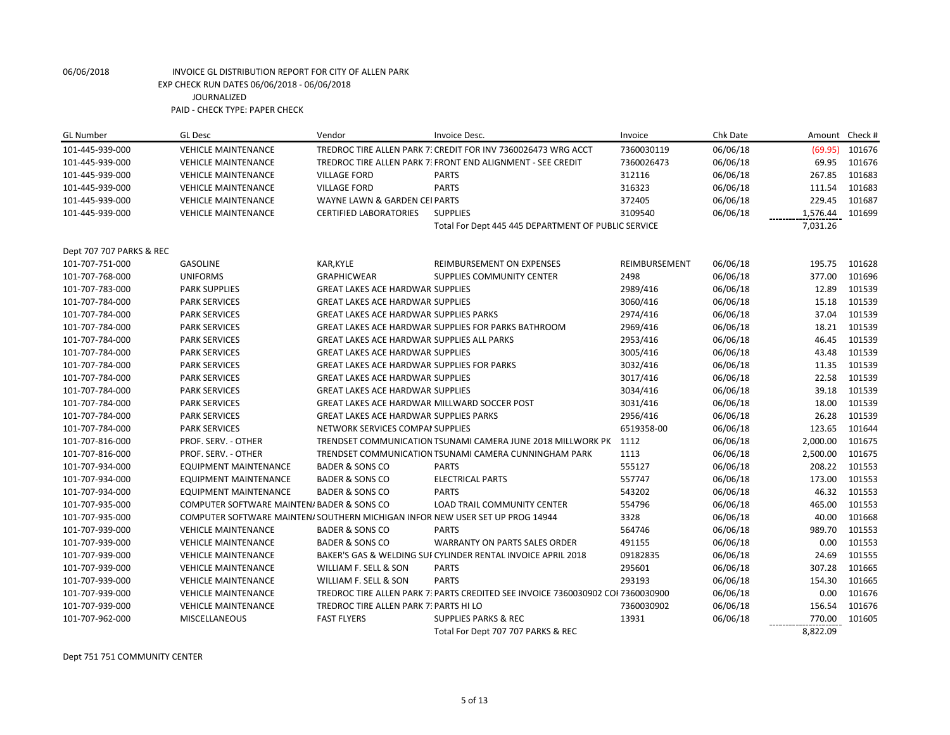| <b>GL Number</b>         | <b>GL Desc</b>                             | Vendor                                            | Invoice Desc.                                                                   | Invoice       | Chk Date |          | Amount Check # |
|--------------------------|--------------------------------------------|---------------------------------------------------|---------------------------------------------------------------------------------|---------------|----------|----------|----------------|
| 101-445-939-000          | <b>VEHICLE MAINTENANCE</b>                 |                                                   | TREDROC TIRE ALLEN PARK 7: CREDIT FOR INV 7360026473 WRG ACCT                   | 7360030119    | 06/06/18 | (69.95)  | 101676         |
| 101-445-939-000          | <b>VEHICLE MAINTENANCE</b>                 |                                                   | TREDROC TIRE ALLEN PARK 7: FRONT END ALIGNMENT - SEE CREDIT                     | 7360026473    | 06/06/18 | 69.95    | 101676         |
| 101-445-939-000          | <b>VEHICLE MAINTENANCE</b>                 | <b>VILLAGE FORD</b>                               | <b>PARTS</b>                                                                    | 312116        | 06/06/18 | 267.85   | 101683         |
| 101-445-939-000          | <b>VEHICLE MAINTENANCE</b>                 | <b>VILLAGE FORD</b>                               | <b>PARTS</b>                                                                    | 316323        | 06/06/18 | 111.54   | 101683         |
| 101-445-939-000          | <b>VEHICLE MAINTENANCE</b>                 | WAYNE LAWN & GARDEN CEI PARTS                     |                                                                                 | 372405        | 06/06/18 | 229.45   | 101687         |
| 101-445-939-000          | <b>VEHICLE MAINTENANCE</b>                 | <b>CERTIFIED LABORATORIES</b>                     | <b>SUPPLIES</b>                                                                 | 3109540       | 06/06/18 | 1,576.44 | 101699         |
|                          |                                            |                                                   | Total For Dept 445 445 DEPARTMENT OF PUBLIC SERVICE                             |               |          | 7,031.26 |                |
| Dept 707 707 PARKS & REC |                                            |                                                   |                                                                                 |               |          |          |                |
| 101-707-751-000          | <b>GASOLINE</b>                            | KAR, KYLE                                         | REIMBURSEMENT ON EXPENSES                                                       | REIMBURSEMENT | 06/06/18 | 195.75   | 101628         |
| 101-707-768-000          | <b>UNIFORMS</b>                            | <b>GRAPHICWEAR</b>                                | SUPPLIES COMMUNITY CENTER                                                       | 2498          | 06/06/18 | 377.00   | 101696         |
| 101-707-783-000          | <b>PARK SUPPLIES</b>                       | <b>GREAT LAKES ACE HARDWAR SUPPLIES</b>           |                                                                                 | 2989/416      | 06/06/18 | 12.89    | 101539         |
| 101-707-784-000          | <b>PARK SERVICES</b>                       | <b>GREAT LAKES ACE HARDWAR SUPPLIES</b>           |                                                                                 | 3060/416      | 06/06/18 | 15.18    | 101539         |
| 101-707-784-000          | <b>PARK SERVICES</b>                       | <b>GREAT LAKES ACE HARDWAR SUPPLIES PARKS</b>     |                                                                                 | 2974/416      | 06/06/18 | 37.04    | 101539         |
| 101-707-784-000          | <b>PARK SERVICES</b>                       |                                                   | GREAT LAKES ACE HARDWAR SUPPLIES FOR PARKS BATHROOM                             | 2969/416      | 06/06/18 | 18.21    | 101539         |
| 101-707-784-000          | <b>PARK SERVICES</b>                       | <b>GREAT LAKES ACE HARDWAR SUPPLIES ALL PARKS</b> |                                                                                 | 2953/416      | 06/06/18 | 46.45    | 101539         |
| 101-707-784-000          | <b>PARK SERVICES</b>                       | <b>GREAT LAKES ACE HARDWAR SUPPLIES</b>           |                                                                                 | 3005/416      | 06/06/18 | 43.48    | 101539         |
| 101-707-784-000          | <b>PARK SERVICES</b>                       | <b>GREAT LAKES ACE HARDWAR SUPPLIES FOR PARKS</b> |                                                                                 | 3032/416      | 06/06/18 | 11.35    | 101539         |
| 101-707-784-000          | <b>PARK SERVICES</b>                       | <b>GREAT LAKES ACE HARDWAR SUPPLIES</b>           |                                                                                 | 3017/416      | 06/06/18 | 22.58    | 101539         |
| 101-707-784-000          | <b>PARK SERVICES</b>                       | <b>GREAT LAKES ACE HARDWAR SUPPLIES</b>           |                                                                                 | 3034/416      | 06/06/18 | 39.18    | 101539         |
| 101-707-784-000          | <b>PARK SERVICES</b>                       |                                                   | GREAT LAKES ACE HARDWAR MILLWARD SOCCER POST                                    | 3031/416      | 06/06/18 | 18.00    | 101539         |
| 101-707-784-000          | <b>PARK SERVICES</b>                       | <b>GREAT LAKES ACE HARDWAR SUPPLIES PARKS</b>     |                                                                                 | 2956/416      | 06/06/18 | 26.28    | 101539         |
| 101-707-784-000          | <b>PARK SERVICES</b>                       | NETWORK SERVICES COMPAI SUPPLIES                  |                                                                                 | 6519358-00    | 06/06/18 | 123.65   | 101644         |
| 101-707-816-000          | PROF. SERV. - OTHER                        |                                                   | TRENDSET COMMUNICATION TSUNAMI CAMERA JUNE 2018 MILLWORK PK 1112                |               | 06/06/18 | 2,000.00 | 101675         |
| 101-707-816-000          | PROF. SERV. - OTHER                        |                                                   | TRENDSET COMMUNICATION TSUNAMI CAMERA CUNNINGHAM PARK                           | 1113          | 06/06/18 | 2,500.00 | 101675         |
| 101-707-934-000          | <b>EQUIPMENT MAINTENANCE</b>               | <b>BADER &amp; SONS CO</b>                        | <b>PARTS</b>                                                                    | 555127        | 06/06/18 | 208.22   | 101553         |
| 101-707-934-000          | <b>EQUIPMENT MAINTENANCE</b>               | <b>BADER &amp; SONS CO</b>                        | <b>ELECTRICAL PARTS</b>                                                         | 557747        | 06/06/18 | 173.00   | 101553         |
| 101-707-934-000          | EQUIPMENT MAINTENANCE                      | <b>BADER &amp; SONS CO</b>                        | <b>PARTS</b>                                                                    | 543202        | 06/06/18 | 46.32    | 101553         |
| 101-707-935-000          | COMPUTER SOFTWARE MAINTEN/ BADER & SONS CO |                                                   | <b>LOAD TRAIL COMMUNITY CENTER</b>                                              | 554796        | 06/06/18 | 465.00   | 101553         |
| 101-707-935-000          |                                            |                                                   | COMPUTER SOFTWARE MAINTEN/ SOUTHERN MICHIGAN INFOR NEW USER SET UP PROG 14944   | 3328          | 06/06/18 | 40.00    | 101668         |
| 101-707-939-000          | <b>VEHICLE MAINTENANCE</b>                 | <b>BADER &amp; SONS CO</b>                        | <b>PARTS</b>                                                                    | 564746        | 06/06/18 | 989.70   | 101553         |
| 101-707-939-000          | <b>VEHICLE MAINTENANCE</b>                 | <b>BADER &amp; SONS CO</b>                        | <b>WARRANTY ON PARTS SALES ORDER</b>                                            | 491155        | 06/06/18 | 0.00     | 101553         |
| 101-707-939-000          | <b>VEHICLE MAINTENANCE</b>                 |                                                   | BAKER'S GAS & WELDING SUI CYLINDER RENTAL INVOICE APRIL 2018                    | 09182835      | 06/06/18 | 24.69    | 101555         |
| 101-707-939-000          | <b>VEHICLE MAINTENANCE</b>                 | WILLIAM F. SELL & SON                             | <b>PARTS</b>                                                                    | 295601        | 06/06/18 | 307.28   | 101665         |
| 101-707-939-000          | <b>VEHICLE MAINTENANCE</b>                 | WILLIAM F. SELL & SON                             | <b>PARTS</b>                                                                    | 293193        | 06/06/18 | 154.30   | 101665         |
| 101-707-939-000          | <b>VEHICLE MAINTENANCE</b>                 |                                                   | TREDROC TIRE ALLEN PARK 7: PARTS CREDITED SEE INVOICE 7360030902 COI 7360030900 |               | 06/06/18 | 0.00     | 101676         |
| 101-707-939-000          | <b>VEHICLE MAINTENANCE</b>                 | TREDROC TIRE ALLEN PARK 7: PARTS HI LO            |                                                                                 | 7360030902    | 06/06/18 | 156.54   | 101676         |
| 101-707-962-000          | MISCELLANEOUS                              | <b>FAST FLYERS</b>                                | <b>SUPPLIES PARKS &amp; REC</b>                                                 | 13931         | 06/06/18 | 770.00   | 101605         |
|                          |                                            |                                                   | Total For Dept 707 707 PARKS & REC                                              |               |          | 8,822.09 |                |

Dept 751 751 COMMUNITY CENTER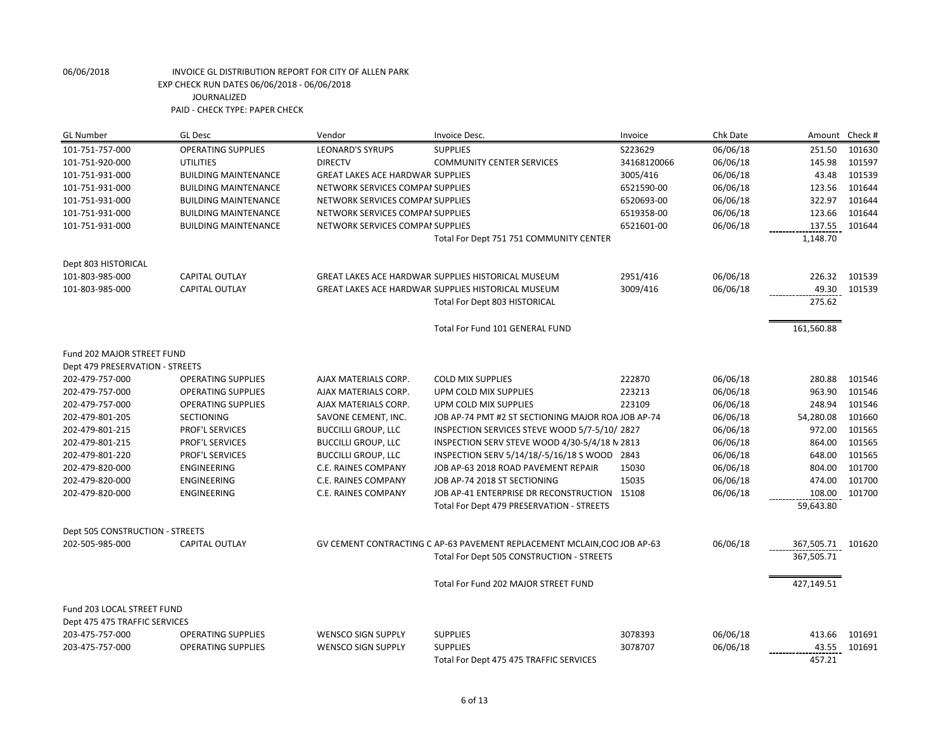| <b>GL Number</b>                | <b>GL Desc</b>              | Vendor                                  | Invoice Desc.                                                            | Invoice     | Chk Date | Amount            | Check # |
|---------------------------------|-----------------------------|-----------------------------------------|--------------------------------------------------------------------------|-------------|----------|-------------------|---------|
| 101-751-757-000                 | <b>OPERATING SUPPLIES</b>   | <b>LEONARD'S SYRUPS</b>                 | <b>SUPPLIES</b>                                                          | S223629     | 06/06/18 | 251.50            | 101630  |
| 101-751-920-000                 | <b>UTILITIES</b>            | <b>DIRECTV</b>                          | <b>COMMUNITY CENTER SERVICES</b>                                         | 34168120066 | 06/06/18 | 145.98            | 101597  |
| 101-751-931-000                 | <b>BUILDING MAINTENANCE</b> | <b>GREAT LAKES ACE HARDWAR SUPPLIES</b> |                                                                          | 3005/416    | 06/06/18 | 43.48             | 101539  |
| 101-751-931-000                 | <b>BUILDING MAINTENANCE</b> | NETWORK SERVICES COMPAI SUPPLIES        |                                                                          | 6521590-00  | 06/06/18 | 123.56            | 101644  |
| 101-751-931-000                 | <b>BUILDING MAINTENANCE</b> | NETWORK SERVICES COMPAI SUPPLIES        |                                                                          | 6520693-00  | 06/06/18 | 322.97            | 101644  |
| 101-751-931-000                 | <b>BUILDING MAINTENANCE</b> | NETWORK SERVICES COMPAI SUPPLIES        |                                                                          | 6519358-00  | 06/06/18 | 123.66            | 101644  |
| 101-751-931-000                 | <b>BUILDING MAINTENANCE</b> | NETWORK SERVICES COMPAI SUPPLIES        |                                                                          | 6521601-00  | 06/06/18 | 137.55            | 101644  |
|                                 |                             |                                         | Total For Dept 751 751 COMMUNITY CENTER                                  |             |          | 1,148.70          |         |
| Dept 803 HISTORICAL             |                             |                                         |                                                                          |             |          |                   |         |
| 101-803-985-000                 | <b>CAPITAL OUTLAY</b>       |                                         | GREAT LAKES ACE HARDWAR SUPPLIES HISTORICAL MUSEUM                       | 2951/416    | 06/06/18 | 226.32            | 101539  |
| 101-803-985-000                 | <b>CAPITAL OUTLAY</b>       |                                         | GREAT LAKES ACE HARDWAR SUPPLIES HISTORICAL MUSEUM                       | 3009/416    | 06/06/18 | 49.30             | 101539  |
|                                 |                             |                                         | Total For Dept 803 HISTORICAL                                            |             |          | 275.62            |         |
|                                 |                             |                                         | Total For Fund 101 GENERAL FUND                                          |             |          | 161,560.88        |         |
| Fund 202 MAJOR STREET FUND      |                             |                                         |                                                                          |             |          |                   |         |
| Dept 479 PRESERVATION - STREETS |                             |                                         |                                                                          |             |          |                   |         |
| 202-479-757-000                 | <b>OPERATING SUPPLIES</b>   | AJAX MATERIALS CORP.                    | <b>COLD MIX SUPPLIES</b>                                                 | 222870      | 06/06/18 | 280.88            | 101546  |
| 202-479-757-000                 | <b>OPERATING SUPPLIES</b>   | AJAX MATERIALS CORP.                    | UPM COLD MIX SUPPLIES                                                    | 223213      | 06/06/18 | 963.90            | 101546  |
| 202-479-757-000                 | <b>OPERATING SUPPLIES</b>   | AJAX MATERIALS CORP.                    | UPM COLD MIX SUPPLIES                                                    | 223109      | 06/06/18 | 248.94            | 101546  |
| 202-479-801-205                 | <b>SECTIONING</b>           | SAVONE CEMENT, INC.                     | JOB AP-74 PMT #2 ST SECTIONING MAJOR ROA JOB AP-74                       |             | 06/06/18 | 54,280.08         | 101660  |
| 202-479-801-215                 | PROF'L SERVICES             | <b>BUCCILLI GROUP, LLC</b>              | INSPECTION SERVICES STEVE WOOD 5/7-5/10/2827                             |             | 06/06/18 | 972.00            | 101565  |
| 202-479-801-215                 | PROF'L SERVICES             | <b>BUCCILLI GROUP, LLC</b>              | INSPECTION SERV STEVE WOOD 4/30-5/4/18 N 2813                            |             | 06/06/18 | 864.00            | 101565  |
| 202-479-801-220                 | PROF'L SERVICES             | <b>BUCCILLI GROUP, LLC</b>              | INSPECTION SERV 5/14/18/-5/16/18 S WOOD 2843                             |             | 06/06/18 | 648.00            | 101565  |
| 202-479-820-000                 | ENGINEERING                 | C.E. RAINES COMPANY                     | JOB AP-63 2018 ROAD PAVEMENT REPAIR                                      | 15030       | 06/06/18 | 804.00            | 101700  |
| 202-479-820-000                 | ENGINEERING                 | C.E. RAINES COMPANY                     | JOB AP-74 2018 ST SECTIONING                                             | 15035       | 06/06/18 | 474.00            | 101700  |
| 202-479-820-000                 | <b>ENGINEERING</b>          | <b>C.E. RAINES COMPANY</b>              | JOB AP-41 ENTERPRISE DR RECONSTRUCTION 15108                             |             | 06/06/18 | 108.00            | 101700  |
|                                 |                             |                                         | Total For Dept 479 PRESERVATION - STREETS                                |             |          | 59,643.80         |         |
| Dept 505 CONSTRUCTION - STREETS |                             |                                         |                                                                          |             |          |                   |         |
| 202-505-985-000                 | <b>CAPITAL OUTLAY</b>       |                                         | GV CEMENT CONTRACTING C AP-63 PAVEMENT REPLACEMENT MCLAIN, COO JOB AP-63 |             | 06/06/18 | 367,505.71 101620 |         |
|                                 |                             |                                         | Total For Dept 505 CONSTRUCTION - STREETS                                |             |          | 367,505.71        |         |
|                                 |                             |                                         | Total For Fund 202 MAJOR STREET FUND                                     |             |          | 427,149.51        |         |
| Fund 203 LOCAL STREET FUND      |                             |                                         |                                                                          |             |          |                   |         |
| Dept 475 475 TRAFFIC SERVICES   |                             |                                         |                                                                          |             |          |                   |         |
| 203-475-757-000                 | <b>OPERATING SUPPLIES</b>   | <b>WENSCO SIGN SUPPLY</b>               | <b>SUPPLIES</b>                                                          | 3078393     | 06/06/18 | 413.66            | 101691  |
| 203-475-757-000                 | <b>OPERATING SUPPLIES</b>   | <b>WENSCO SIGN SUPPLY</b>               | <b>SUPPLIES</b>                                                          | 3078707     | 06/06/18 | 43.55             | 101691  |
|                                 |                             |                                         | Total For Dept 475 475 TRAFFIC SERVICES                                  |             |          | 457.21            |         |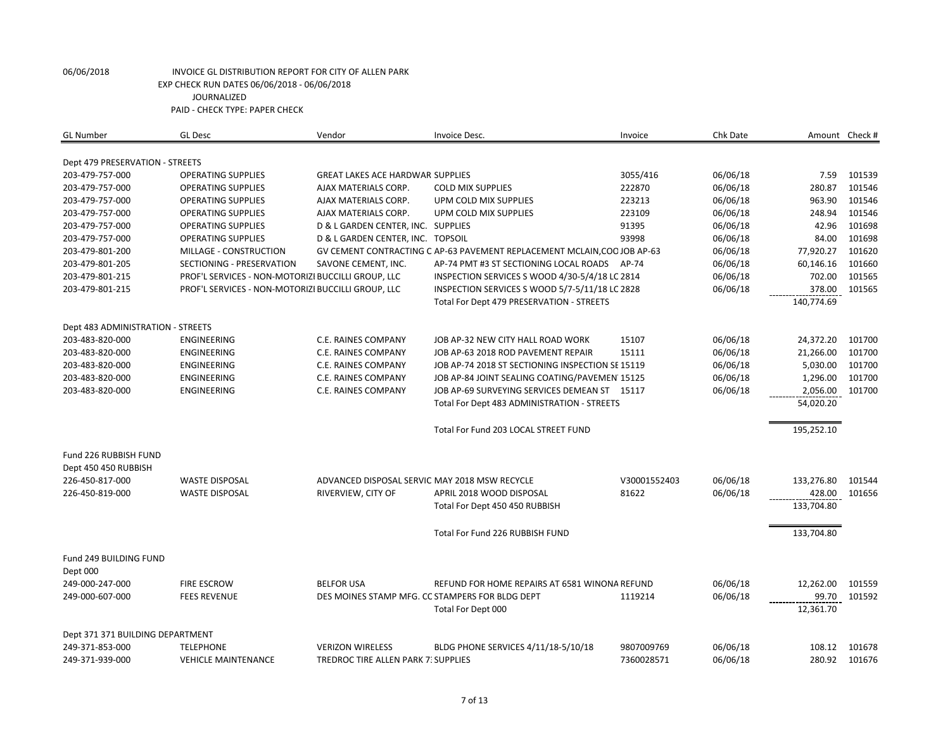| <b>GL Number</b>                  | <b>GL Desc</b>                                     | Vendor                                        | Invoice Desc.                                                            | Invoice      | Chk Date |            | Amount Check # |
|-----------------------------------|----------------------------------------------------|-----------------------------------------------|--------------------------------------------------------------------------|--------------|----------|------------|----------------|
| Dept 479 PRESERVATION - STREETS   |                                                    |                                               |                                                                          |              |          |            |                |
| 203-479-757-000                   | <b>OPERATING SUPPLIES</b>                          | <b>GREAT LAKES ACE HARDWAR SUPPLIES</b>       |                                                                          | 3055/416     | 06/06/18 | 7.59       | 101539         |
| 203-479-757-000                   | <b>OPERATING SUPPLIES</b>                          | AJAX MATERIALS CORP.                          | <b>COLD MIX SUPPLIES</b>                                                 | 222870       | 06/06/18 | 280.87     | 101546         |
| 203-479-757-000                   | <b>OPERATING SUPPLIES</b>                          | AJAX MATERIALS CORP.                          | UPM COLD MIX SUPPLIES                                                    | 223213       | 06/06/18 | 963.90     | 101546         |
| 203-479-757-000                   | <b>OPERATING SUPPLIES</b>                          | AJAX MATERIALS CORP.                          | UPM COLD MIX SUPPLIES                                                    | 223109       | 06/06/18 | 248.94     | 101546         |
| 203-479-757-000                   | <b>OPERATING SUPPLIES</b>                          | D & L GARDEN CENTER, INC. SUPPLIES            |                                                                          | 91395        | 06/06/18 | 42.96      | 101698         |
| 203-479-757-000                   | <b>OPERATING SUPPLIES</b>                          | D & L GARDEN CENTER, INC. TOPSOIL             |                                                                          | 93998        | 06/06/18 | 84.00      | 101698         |
| 203-479-801-200                   | MILLAGE - CONSTRUCTION                             |                                               | GV CEMENT CONTRACTING C AP-63 PAVEMENT REPLACEMENT MCLAIN, COO JOB AP-63 |              | 06/06/18 | 77,920.27  | 101620         |
| 203-479-801-205                   | SECTIONING - PRESERVATION                          | SAVONE CEMENT, INC.                           | AP-74 PMT #3 ST SECTIONING LOCAL ROADS AP-74                             |              | 06/06/18 | 60,146.16  | 101660         |
| 203-479-801-215                   | PROF'L SERVICES - NON-MOTORIZI BUCCILLI GROUP, LLC |                                               | INSPECTION SERVICES S WOOD 4/30-5/4/18 LC 2814                           |              | 06/06/18 | 702.00     | 101565         |
| 203-479-801-215                   | PROF'L SERVICES - NON-MOTORIZI BUCCILLI GROUP, LLC |                                               | INSPECTION SERVICES S WOOD 5/7-5/11/18 LC 2828                           |              | 06/06/18 | 378.00     | 101565         |
|                                   |                                                    |                                               | Total For Dept 479 PRESERVATION - STREETS                                |              |          | 140,774.69 |                |
|                                   |                                                    |                                               |                                                                          |              |          |            |                |
| Dept 483 ADMINISTRATION - STREETS |                                                    |                                               |                                                                          |              |          |            |                |
| 203-483-820-000                   | ENGINEERING                                        | C.E. RAINES COMPANY                           | JOB AP-32 NEW CITY HALL ROAD WORK                                        | 15107        | 06/06/18 | 24,372.20  | 101700         |
| 203-483-820-000                   | <b>ENGINEERING</b>                                 | C.E. RAINES COMPANY                           | JOB AP-63 2018 ROD PAVEMENT REPAIR                                       | 15111        | 06/06/18 | 21,266.00  | 101700         |
| 203-483-820-000                   | ENGINEERING                                        | C.E. RAINES COMPANY                           | JOB AP-74 2018 ST SECTIONING INSPECTION SE 15119                         |              | 06/06/18 | 5,030.00   | 101700         |
| 203-483-820-000                   | <b>ENGINEERING</b>                                 | <b>C.E. RAINES COMPANY</b>                    | JOB AP-84 JOINT SEALING COATING/PAVEMEN 15125                            |              | 06/06/18 | 1,296.00   | 101700         |
| 203-483-820-000                   | ENGINEERING                                        | C.E. RAINES COMPANY                           | JOB AP-69 SURVEYING SERVICES DEMEAN ST 15117                             |              | 06/06/18 | 2,056.00   | 101700         |
|                                   |                                                    |                                               | Total For Dept 483 ADMINISTRATION - STREETS                              |              |          | 54,020.20  |                |
|                                   |                                                    |                                               |                                                                          |              |          |            |                |
|                                   |                                                    |                                               | Total For Fund 203 LOCAL STREET FUND                                     |              |          | 195,252.10 |                |
| Fund 226 RUBBISH FUND             |                                                    |                                               |                                                                          |              |          |            |                |
| Dept 450 450 RUBBISH              |                                                    |                                               |                                                                          |              |          |            |                |
| 226-450-817-000                   | <b>WASTE DISPOSAL</b>                              | ADVANCED DISPOSAL SERVIC MAY 2018 MSW RECYCLE |                                                                          | V30001552403 | 06/06/18 | 133,276.80 | 101544         |
| 226-450-819-000                   | <b>WASTE DISPOSAL</b>                              | RIVERVIEW, CITY OF                            | APRIL 2018 WOOD DISPOSAL                                                 | 81622        | 06/06/18 | 428.00     | 101656         |
|                                   |                                                    |                                               | Total For Dept 450 450 RUBBISH                                           |              |          | 133,704.80 |                |
|                                   |                                                    |                                               |                                                                          |              |          |            |                |
|                                   |                                                    |                                               | Total For Fund 226 RUBBISH FUND                                          |              |          | 133,704.80 |                |
| Fund 249 BUILDING FUND            |                                                    |                                               |                                                                          |              |          |            |                |
| Dept 000                          |                                                    |                                               |                                                                          |              |          |            |                |
| 249-000-247-000                   | <b>FIRE ESCROW</b>                                 | <b>BELFOR USA</b>                             | REFUND FOR HOME REPAIRS AT 6581 WINONA REFUND                            |              | 06/06/18 | 12,262.00  | 101559         |
| 249-000-607-000                   | <b>FEES REVENUE</b>                                |                                               | DES MOINES STAMP MFG. CC STAMPERS FOR BLDG DEPT                          | 1119214      | 06/06/18 | 99.70      | 101592         |
|                                   |                                                    |                                               | Total For Dept 000                                                       |              |          | 12,361.70  |                |
|                                   |                                                    |                                               |                                                                          |              |          |            |                |
| Dept 371 371 BUILDING DEPARTMENT  |                                                    |                                               |                                                                          |              |          |            |                |
| 249-371-853-000                   | <b>TELEPHONE</b>                                   | <b>VERIZON WIRELESS</b>                       | BLDG PHONE SERVICES 4/11/18-5/10/18                                      | 9807009769   | 06/06/18 | 108.12     | 101678         |
| 249-371-939-000                   | <b>VEHICLE MAINTENANCE</b>                         | TREDROC TIRE ALLEN PARK 7: SUPPLIES           |                                                                          | 7360028571   | 06/06/18 | 280.92     | 101676         |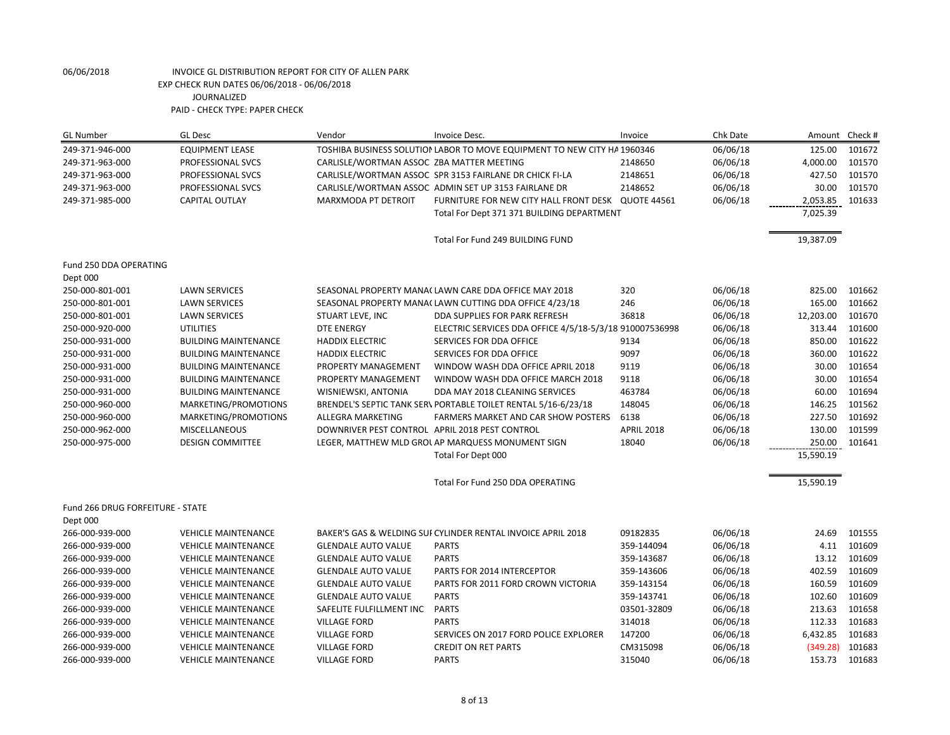| <b>GL Number</b>                 | <b>GL Desc</b>              | Vendor                                         | Invoice Desc.                                                            | Invoice           | Chk Date | Amount    | Check# |
|----------------------------------|-----------------------------|------------------------------------------------|--------------------------------------------------------------------------|-------------------|----------|-----------|--------|
| 249-371-946-000                  | <b>EQUIPMENT LEASE</b>      |                                                | TOSHIBA BUSINESS SOLUTION LABOR TO MOVE EQUIPMENT TO NEW CITY HA 1960346 |                   | 06/06/18 | 125.00    | 101672 |
| 249-371-963-000                  | PROFESSIONAL SVCS           | CARLISLE/WORTMAN ASSOC ZBA MATTER MEETING      |                                                                          | 2148650           | 06/06/18 | 4,000.00  | 101570 |
| 249-371-963-000                  | PROFESSIONAL SVCS           |                                                | CARLISLE/WORTMAN ASSOC SPR 3153 FAIRLANE DR CHICK FI-LA                  | 2148651           | 06/06/18 | 427.50    | 101570 |
| 249-371-963-000                  | PROFESSIONAL SVCS           |                                                | CARLISLE/WORTMAN ASSOC ADMIN SET UP 3153 FAIRLANE DR                     | 2148652           | 06/06/18 | 30.00     | 101570 |
| 249-371-985-000                  | <b>CAPITAL OUTLAY</b>       | MARXMODA PT DETROIT                            | FURNITURE FOR NEW CITY HALL FRONT DESK QUOTE 44561                       |                   | 06/06/18 | 2,053.85  | 101633 |
|                                  |                             |                                                | Total For Dept 371 371 BUILDING DEPARTMENT                               |                   |          | 7,025.39  |        |
|                                  |                             |                                                | Total For Fund 249 BUILDING FUND                                         |                   |          | 19,387.09 |        |
| Fund 250 DDA OPERATING           |                             |                                                |                                                                          |                   |          |           |        |
| Dept 000                         |                             |                                                |                                                                          |                   |          |           |        |
| 250-000-801-001                  | <b>LAWN SERVICES</b>        |                                                | SEASONAL PROPERTY MANA(LAWN CARE DDA OFFICE MAY 2018                     | 320               | 06/06/18 | 825.00    | 101662 |
| 250-000-801-001                  | <b>LAWN SERVICES</b>        |                                                | SEASONAL PROPERTY MANA(LAWN CUTTING DDA OFFICE 4/23/18                   | 246               | 06/06/18 | 165.00    | 101662 |
| 250-000-801-001                  | <b>LAWN SERVICES</b>        | STUART LEVE, INC                               | DDA SUPPLIES FOR PARK REFRESH                                            | 36818             | 06/06/18 | 12,203.00 | 101670 |
| 250-000-920-000                  | <b>UTILITIES</b>            | <b>DTE ENERGY</b>                              | ELECTRIC SERVICES DDA OFFICE 4/5/18-5/3/18 910007536998                  |                   | 06/06/18 | 313.44    | 101600 |
| 250-000-931-000                  | <b>BUILDING MAINTENANCE</b> | <b>HADDIX ELECTRIC</b>                         | SERVICES FOR DDA OFFICE                                                  | 9134              | 06/06/18 | 850.00    | 101622 |
| 250-000-931-000                  | <b>BUILDING MAINTENANCE</b> | <b>HADDIX ELECTRIC</b>                         | SERVICES FOR DDA OFFICE                                                  | 9097              | 06/06/18 | 360.00    | 101622 |
| 250-000-931-000                  | <b>BUILDING MAINTENANCE</b> | PROPERTY MANAGEMENT                            | WINDOW WASH DDA OFFICE APRIL 2018                                        | 9119              | 06/06/18 | 30.00     | 101654 |
| 250-000-931-000                  | <b>BUILDING MAINTENANCE</b> | PROPERTY MANAGEMENT                            | WINDOW WASH DDA OFFICE MARCH 2018                                        | 9118              | 06/06/18 | 30.00     | 101654 |
| 250-000-931-000                  | <b>BUILDING MAINTENANCE</b> | WISNIEWSKI, ANTONIA                            | DDA MAY 2018 CLEANING SERVICES                                           | 463784            | 06/06/18 | 60.00     | 101694 |
| 250-000-960-000                  | MARKETING/PROMOTIONS        |                                                | BRENDEL'S SEPTIC TANK SER\ PORTABLE TOILET RENTAL 5/16-6/23/18           | 148045            | 06/06/18 | 146.25    | 101562 |
| 250-000-960-000                  | MARKETING/PROMOTIONS        | ALLEGRA MARKETING                              | FARMERS MARKET AND CAR SHOW POSTERS                                      | 6138              | 06/06/18 | 227.50    | 101692 |
| 250-000-962-000                  | <b>MISCELLANEOUS</b>        | DOWNRIVER PEST CONTROL APRIL 2018 PEST CONTROL |                                                                          | <b>APRIL 2018</b> | 06/06/18 | 130.00    | 101599 |
| 250-000-975-000                  | <b>DESIGN COMMITTEE</b>     |                                                | LEGER, MATTHEW MLD GROL AP MARQUESS MONUMENT SIGN                        | 18040             | 06/06/18 | 250.00    | 101641 |
|                                  |                             |                                                | Total For Dept 000                                                       |                   |          | 15,590.19 |        |
|                                  |                             |                                                | Total For Fund 250 DDA OPERATING                                         |                   |          | 15,590.19 |        |
| Fund 266 DRUG FORFEITURE - STATE |                             |                                                |                                                                          |                   |          |           |        |
| Dept 000                         |                             |                                                |                                                                          |                   |          |           |        |
| 266-000-939-000                  | <b>VEHICLE MAINTENANCE</b>  |                                                | BAKER'S GAS & WELDING SUI CYLINDER RENTAL INVOICE APRIL 2018             | 09182835          | 06/06/18 | 24.69     | 101555 |
| 266-000-939-000                  | <b>VEHICLE MAINTENANCE</b>  | <b>GLENDALE AUTO VALUE</b>                     | <b>PARTS</b>                                                             | 359-144094        | 06/06/18 | 4.11      | 101609 |
| 266-000-939-000                  | <b>VEHICLE MAINTENANCE</b>  | <b>GLENDALE AUTO VALUE</b>                     | <b>PARTS</b>                                                             | 359-143687        | 06/06/18 | 13.12     | 101609 |
| 266-000-939-000                  | <b>VEHICLE MAINTENANCE</b>  | <b>GLENDALE AUTO VALUE</b>                     | PARTS FOR 2014 INTERCEPTOR                                               | 359-143606        | 06/06/18 | 402.59    | 101609 |
| 266-000-939-000                  | <b>VEHICLE MAINTENANCE</b>  | <b>GLENDALE AUTO VALUE</b>                     | PARTS FOR 2011 FORD CROWN VICTORIA                                       | 359-143154        | 06/06/18 | 160.59    | 101609 |
| 266-000-939-000                  | <b>VEHICLE MAINTENANCE</b>  | <b>GLENDALE AUTO VALUE</b>                     | <b>PARTS</b>                                                             | 359-143741        | 06/06/18 | 102.60    | 101609 |
| 266-000-939-000                  | <b>VEHICLE MAINTENANCE</b>  | SAFELITE FULFILLMENT INC                       | <b>PARTS</b>                                                             | 03501-32809       | 06/06/18 | 213.63    | 101658 |
| 266-000-939-000                  | <b>VEHICLE MAINTENANCE</b>  | <b>VILLAGE FORD</b>                            | <b>PARTS</b>                                                             | 314018            | 06/06/18 | 112.33    | 101683 |
| 266-000-939-000                  | <b>VEHICLE MAINTENANCE</b>  | <b>VILLAGE FORD</b>                            | SERVICES ON 2017 FORD POLICE EXPLORER                                    | 147200            | 06/06/18 | 6,432.85  | 101683 |
| 266-000-939-000                  | <b>VEHICLE MAINTENANCE</b>  | <b>VILLAGE FORD</b>                            | <b>CREDIT ON RET PARTS</b>                                               | CM315098          | 06/06/18 | (349.28)  | 101683 |
| 266-000-939-000                  | <b>VEHICLE MAINTENANCE</b>  | <b>VILLAGE FORD</b>                            | <b>PARTS</b>                                                             | 315040            | 06/06/18 | 153.73    | 101683 |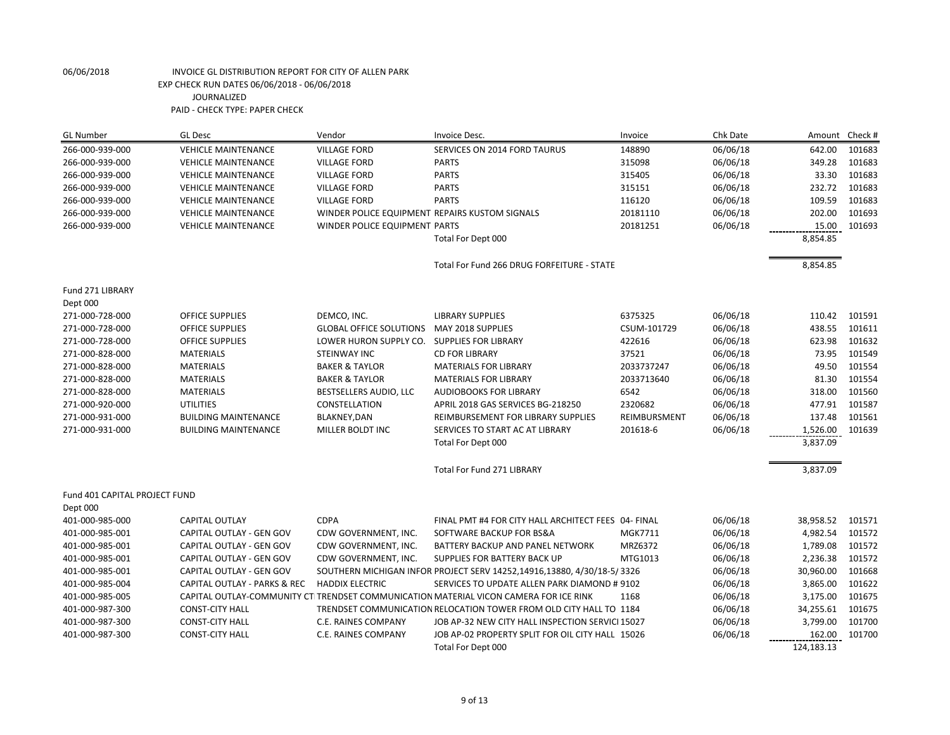| <b>GL Number</b>              | <b>GL Desc</b>               | Vendor                         | Invoice Desc.                                                                          | Invoice        | Chk Date | Amount     | Check # |
|-------------------------------|------------------------------|--------------------------------|----------------------------------------------------------------------------------------|----------------|----------|------------|---------|
| 266-000-939-000               | <b>VEHICLE MAINTENANCE</b>   | <b>VILLAGE FORD</b>            | SERVICES ON 2014 FORD TAURUS                                                           | 148890         | 06/06/18 | 642.00     | 101683  |
| 266-000-939-000               | <b>VEHICLE MAINTENANCE</b>   | <b>VILLAGE FORD</b>            | <b>PARTS</b>                                                                           | 315098         | 06/06/18 | 349.28     | 101683  |
| 266-000-939-000               | <b>VEHICLE MAINTENANCE</b>   | <b>VILLAGE FORD</b>            | <b>PARTS</b>                                                                           | 315405         | 06/06/18 | 33.30      | 101683  |
| 266-000-939-000               | <b>VEHICLE MAINTENANCE</b>   | <b>VILLAGE FORD</b>            | <b>PARTS</b>                                                                           | 315151         | 06/06/18 | 232.72     | 101683  |
| 266-000-939-000               | <b>VEHICLE MAINTENANCE</b>   | <b>VILLAGE FORD</b>            | <b>PARTS</b>                                                                           | 116120         | 06/06/18 | 109.59     | 101683  |
| 266-000-939-000               | <b>VEHICLE MAINTENANCE</b>   |                                | WINDER POLICE EQUIPMENT REPAIRS KUSTOM SIGNALS                                         | 20181110       | 06/06/18 | 202.00     | 101693  |
| 266-000-939-000               | <b>VEHICLE MAINTENANCE</b>   | WINDER POLICE EQUIPMENT PARTS  |                                                                                        | 20181251       | 06/06/18 | 15.00      | 101693  |
|                               |                              |                                | Total For Dept 000                                                                     |                |          | 8,854.85   |         |
|                               |                              |                                | Total For Fund 266 DRUG FORFEITURE - STATE                                             |                |          | 8,854.85   |         |
| Fund 271 LIBRARY              |                              |                                |                                                                                        |                |          |            |         |
| Dept 000                      |                              |                                |                                                                                        |                |          |            |         |
| 271-000-728-000               | <b>OFFICE SUPPLIES</b>       | DEMCO, INC.                    | <b>LIBRARY SUPPLIES</b>                                                                | 6375325        | 06/06/18 | 110.42     | 101591  |
| 271-000-728-000               | <b>OFFICE SUPPLIES</b>       | <b>GLOBAL OFFICE SOLUTIONS</b> | MAY 2018 SUPPLIES                                                                      | CSUM-101729    | 06/06/18 | 438.55     | 101611  |
| 271-000-728-000               | <b>OFFICE SUPPLIES</b>       | LOWER HURON SUPPLY CO.         | <b>SUPPLIES FOR LIBRARY</b>                                                            | 422616         | 06/06/18 | 623.98     | 101632  |
| 271-000-828-000               | <b>MATERIALS</b>             | <b>STEINWAY INC</b>            | <b>CD FOR LIBRARY</b>                                                                  | 37521          | 06/06/18 | 73.95      | 101549  |
| 271-000-828-000               | <b>MATERIALS</b>             | <b>BAKER &amp; TAYLOR</b>      | <b>MATERIALS FOR LIBRARY</b>                                                           | 2033737247     | 06/06/18 | 49.50      | 101554  |
| 271-000-828-000               | <b>MATERIALS</b>             | <b>BAKER &amp; TAYLOR</b>      | <b>MATERIALS FOR LIBRARY</b>                                                           | 2033713640     | 06/06/18 | 81.30      | 101554  |
| 271-000-828-000               | <b>MATERIALS</b>             | BESTSELLERS AUDIO, LLC         | <b>AUDIOBOOKS FOR LIBRARY</b>                                                          | 6542           | 06/06/18 | 318.00     | 101560  |
| 271-000-920-000               | <b>UTILITIES</b>             | CONSTELLATION                  | APRIL 2018 GAS SERVICES BG-218250                                                      | 2320682        | 06/06/18 | 477.91     | 101587  |
| 271-000-931-000               | <b>BUILDING MAINTENANCE</b>  | <b>BLAKNEY, DAN</b>            | REIMBURSEMENT FOR LIBRARY SUPPLIES                                                     | REIMBURSMENT   | 06/06/18 | 137.48     | 101561  |
| 271-000-931-000               | <b>BUILDING MAINTENANCE</b>  | MILLER BOLDT INC               | SERVICES TO START AC AT LIBRARY                                                        | 201618-6       | 06/06/18 | 1,526.00   | 101639  |
|                               |                              |                                | Total For Dept 000                                                                     |                |          | 3,837.09   |         |
|                               |                              |                                | <b>Total For Fund 271 LIBRARY</b>                                                      |                |          | 3,837.09   |         |
| Fund 401 CAPITAL PROJECT FUND |                              |                                |                                                                                        |                |          |            |         |
| Dept 000                      |                              |                                |                                                                                        |                |          |            |         |
| 401-000-985-000               | CAPITAL OUTLAY               | <b>CDPA</b>                    | FINAL PMT #4 FOR CITY HALL ARCHITECT FEES 04- FINAL                                    |                | 06/06/18 | 38,958.52  | 101571  |
| 401-000-985-001               | CAPITAL OUTLAY - GEN GOV     | CDW GOVERNMENT, INC.           | SOFTWARE BACKUP FOR BS&A                                                               | <b>MGK7711</b> | 06/06/18 | 4,982.54   | 101572  |
| 401-000-985-001               | CAPITAL OUTLAY - GEN GOV     | CDW GOVERNMENT, INC.           | BATTERY BACKUP AND PANEL NETWORK                                                       | MRZ6372        | 06/06/18 | 1,789.08   | 101572  |
| 401-000-985-001               | CAPITAL OUTLAY - GEN GOV     | CDW GOVERNMENT, INC.           | SUPPLIES FOR BATTERY BACK UP                                                           | MTG1013        | 06/06/18 | 2,236.38   | 101572  |
| 401-000-985-001               | CAPITAL OUTLAY - GEN GOV     |                                | SOUTHERN MICHIGAN INFOR PROJECT SERV 14252,14916,13880, 4/30/18-5/3326                 |                | 06/06/18 | 30,960.00  | 101668  |
| 401-000-985-004               | CAPITAL OUTLAY - PARKS & REC | <b>HADDIX ELECTRIC</b>         | SERVICES TO UPDATE ALLEN PARK DIAMOND # 9102                                           |                | 06/06/18 | 3,865.00   | 101622  |
| 401-000-985-005               |                              |                                | CAPITAL OUTLAY-COMMUNITY CTI TRENDSET COMMUNICATION MATERIAL VICON CAMERA FOR ICE RINK | 1168           | 06/06/18 | 3,175.00   | 101675  |
| 401-000-987-300               | <b>CONST-CITY HALL</b>       |                                | TRENDSET COMMUNICATION RELOCATION TOWER FROM OLD CITY HALL TO 1184                     |                | 06/06/18 | 34,255.61  | 101675  |
| 401-000-987-300               | <b>CONST-CITY HALL</b>       | <b>C.E. RAINES COMPANY</b>     | JOB AP-32 NEW CITY HALL INSPECTION SERVICI 15027                                       |                | 06/06/18 | 3,799.00   | 101700  |
| 401-000-987-300               | <b>CONST-CITY HALL</b>       | C.E. RAINES COMPANY            | JOB AP-02 PROPERTY SPLIT FOR OIL CITY HALL 15026                                       |                | 06/06/18 | 162.00     | 101700  |
|                               |                              |                                | Total For Dept 000                                                                     |                |          | 124,183.13 |         |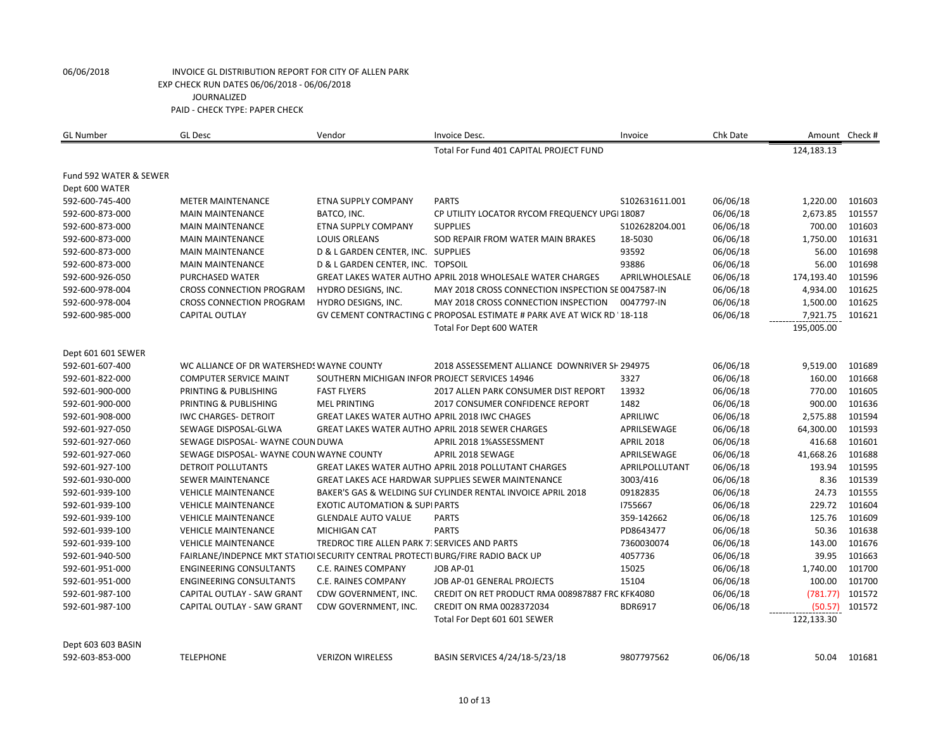| <b>GL Number</b>       | <b>GL Desc</b>                                                                  | Vendor                                               | Invoice Desc.                                                          | Invoice           | Chk Date |            | Amount Check # |
|------------------------|---------------------------------------------------------------------------------|------------------------------------------------------|------------------------------------------------------------------------|-------------------|----------|------------|----------------|
|                        |                                                                                 |                                                      | Total For Fund 401 CAPITAL PROJECT FUND                                |                   |          | 124,183.13 |                |
| Fund 592 WATER & SEWER |                                                                                 |                                                      |                                                                        |                   |          |            |                |
| Dept 600 WATER         |                                                                                 |                                                      |                                                                        |                   |          |            |                |
| 592-600-745-400        | <b>METER MAINTENANCE</b>                                                        | <b>ETNA SUPPLY COMPANY</b>                           | <b>PARTS</b>                                                           | \$102631611.001   | 06/06/18 | 1,220.00   | 101603         |
| 592-600-873-000        | <b>MAIN MAINTENANCE</b>                                                         | BATCO, INC.                                          | CP UTILITY LOCATOR RYCOM FREQUENCY UPGI 18087                          |                   | 06/06/18 | 2,673.85   | 101557         |
| 592-600-873-000        | <b>MAIN MAINTENANCE</b>                                                         | <b>ETNA SUPPLY COMPANY</b>                           | <b>SUPPLIES</b>                                                        | S102628204.001    | 06/06/18 | 700.00     | 101603         |
| 592-600-873-000        | <b>MAIN MAINTENANCE</b>                                                         | <b>LOUIS ORLEANS</b>                                 | SOD REPAIR FROM WATER MAIN BRAKES                                      | 18-5030           | 06/06/18 | 1,750.00   | 101631         |
| 592-600-873-000        | <b>MAIN MAINTENANCE</b>                                                         | D & L GARDEN CENTER, INC. SUPPLIES                   |                                                                        | 93592             | 06/06/18 | 56.00      | 101698         |
| 592-600-873-000        | <b>MAIN MAINTENANCE</b>                                                         | D & L GARDEN CENTER, INC. TOPSOIL                    |                                                                        | 93886             | 06/06/18 | 56.00      | 101698         |
| 592-600-926-050        | PURCHASED WATER                                                                 |                                                      | <b>GREAT LAKES WATER AUTHO APRIL 2018 WHOLESALE WATER CHARGES</b>      | APRILWHOLESALE    | 06/06/18 | 174,193.40 | 101596         |
| 592-600-978-004        | <b>CROSS CONNECTION PROGRAM</b>                                                 | HYDRO DESIGNS, INC.                                  | MAY 2018 CROSS CONNECTION INSPECTION SE 0047587-IN                     |                   | 06/06/18 | 4,934.00   | 101625         |
| 592-600-978-004        | <b>CROSS CONNECTION PROGRAM</b>                                                 | HYDRO DESIGNS, INC.                                  | MAY 2018 CROSS CONNECTION INSPECTION                                   | 0047797-IN        | 06/06/18 | 1,500.00   | 101625         |
| 592-600-985-000        | <b>CAPITAL OUTLAY</b>                                                           |                                                      | GV CEMENT CONTRACTING C PROPOSAL ESTIMATE # PARK AVE AT WICK RD 18-118 |                   | 06/06/18 | 7,921.75   | 101621         |
|                        |                                                                                 |                                                      | Total For Dept 600 WATER                                               |                   |          | 195,005.00 |                |
| Dept 601 601 SEWER     |                                                                                 |                                                      |                                                                        |                   |          |            |                |
| 592-601-607-400        | WC ALLIANCE OF DR WATERSHEDS WAYNE COUNTY                                       |                                                      | 2018 ASSESSEMENT ALLIANCE DOWNRIVER SH 294975                          |                   | 06/06/18 | 9,519.00   | 101689         |
| 592-601-822-000        | <b>COMPUTER SERVICE MAINT</b>                                                   | SOUTHERN MICHIGAN INFOR PROJECT SERVICES 14946       |                                                                        | 3327              | 06/06/18 | 160.00     | 101668         |
| 592-601-900-000        | PRINTING & PUBLISHING                                                           | <b>FAST FLYERS</b>                                   | 2017 ALLEN PARK CONSUMER DIST REPORT                                   | 13932             | 06/06/18 | 770.00     | 101605         |
| 592-601-900-000        | PRINTING & PUBLISHING                                                           | <b>MEL PRINTING</b>                                  | 2017 CONSUMER CONFIDENCE REPORT                                        | 1482              | 06/06/18 | 900.00     | 101636         |
| 592-601-908-000        | <b>IWC CHARGES- DETROIT</b>                                                     | <b>GREAT LAKES WATER AUTHO APRIL 2018 IWC CHAGES</b> |                                                                        | APRILIWC          | 06/06/18 | 2,575.88   | 101594         |
| 592-601-927-050        | SEWAGE DISPOSAL-GLWA                                                            |                                                      | <b>GREAT LAKES WATER AUTHO APRIL 2018 SEWER CHARGES</b>                | APRILSEWAGE       | 06/06/18 | 64,300.00  | 101593         |
| 592-601-927-060        | SEWAGE DISPOSAL- WAYNE COUN DUWA                                                |                                                      | APRIL 2018 1%ASSESSMENT                                                | <b>APRIL 2018</b> | 06/06/18 | 416.68     | 101601         |
| 592-601-927-060        | SEWAGE DISPOSAL- WAYNE COUN WAYNE COUNTY                                        |                                                      | APRIL 2018 SEWAGE                                                      | APRILSEWAGE       | 06/06/18 | 41,668.26  | 101688         |
| 592-601-927-100        | <b>DETROIT POLLUTANTS</b>                                                       |                                                      | <b>GREAT LAKES WATER AUTHO APRIL 2018 POLLUTANT CHARGES</b>            | APRILPOLLUTANT    | 06/06/18 | 193.94     | 101595         |
| 592-601-930-000        | <b>SEWER MAINTENANCE</b>                                                        |                                                      | GREAT LAKES ACE HARDWAR SUPPLIES SEWER MAINTENANCE                     | 3003/416          | 06/06/18 | 8.36       | 101539         |
| 592-601-939-100        | <b>VEHICLE MAINTENANCE</b>                                                      |                                                      | BAKER'S GAS & WELDING SUI CYLINDER RENTAL INVOICE APRIL 2018           | 09182835          | 06/06/18 | 24.73      | 101555         |
| 592-601-939-100        | <b>VEHICLE MAINTENANCE</b>                                                      | <b>EXOTIC AUTOMATION &amp; SUPI PARTS</b>            |                                                                        | 1755667           | 06/06/18 | 229.72     | 101604         |
| 592-601-939-100        | <b>VEHICLE MAINTENANCE</b>                                                      | <b>GLENDALE AUTO VALUE</b>                           | <b>PARTS</b>                                                           | 359-142662        | 06/06/18 | 125.76     | 101609         |
| 592-601-939-100        | <b>VEHICLE MAINTENANCE</b>                                                      | <b>MICHIGAN CAT</b>                                  | <b>PARTS</b>                                                           | PD8643477         | 06/06/18 | 50.36      | 101638         |
| 592-601-939-100        | <b>VEHICLE MAINTENANCE</b>                                                      | TREDROC TIRE ALLEN PARK 7: SERVICES AND PARTS        |                                                                        | 7360030074        | 06/06/18 | 143.00     | 101676         |
| 592-601-940-500        | FAIRLANE/INDEPNCE MKT STATIOI SECURITY CENTRAL PROTECTI BURG/FIRE RADIO BACK UP |                                                      |                                                                        | 4057736           | 06/06/18 | 39.95      | 101663         |
| 592-601-951-000        | <b>ENGINEERING CONSULTANTS</b>                                                  | C.E. RAINES COMPANY                                  | JOB AP-01                                                              | 15025             | 06/06/18 | 1,740.00   | 101700         |
| 592-601-951-000        | <b>ENGINEERING CONSULTANTS</b>                                                  | C.E. RAINES COMPANY                                  | JOB AP-01 GENERAL PROJECTS                                             | 15104             | 06/06/18 | 100.00     | 101700         |
| 592-601-987-100        | CAPITAL OUTLAY - SAW GRANT                                                      | CDW GOVERNMENT, INC.                                 | CREDIT ON RET PRODUCT RMA 008987887 FRC KFK4080                        |                   | 06/06/18 | (781.77)   | 101572         |
| 592-601-987-100        | CAPITAL OUTLAY - SAW GRANT                                                      | CDW GOVERNMENT, INC.                                 | CREDIT ON RMA 0028372034                                               | <b>BDR6917</b>    | 06/06/18 | (50.57)    | 101572         |
|                        |                                                                                 |                                                      | Total For Dept 601 601 SEWER                                           |                   |          | 122,133.30 |                |
| Dept 603 603 BASIN     |                                                                                 |                                                      |                                                                        |                   |          |            |                |
| 592-603-853-000        | <b>TELEPHONE</b>                                                                | <b>VERIZON WIRELESS</b>                              | BASIN SERVICES 4/24/18-5/23/18                                         | 9807797562        | 06/06/18 | 50.04      | 101681         |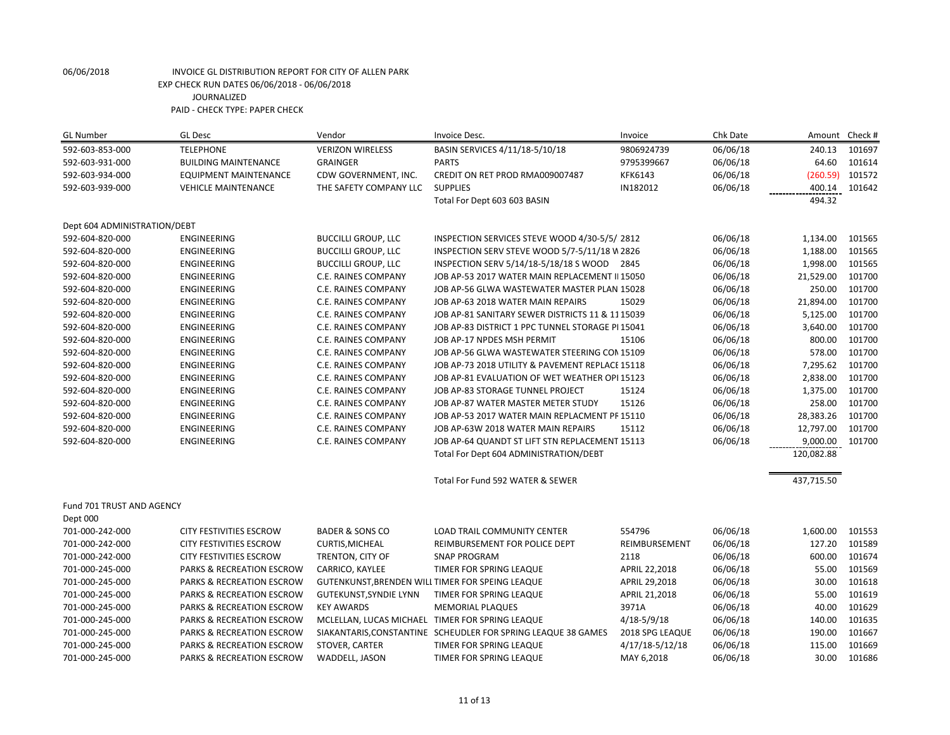| <b>GL Number</b>             | <b>GL Desc</b>                       | Vendor                     | Invoice Desc.                                                 | Invoice         | Chk Date | Amount     | Check # |
|------------------------------|--------------------------------------|----------------------------|---------------------------------------------------------------|-----------------|----------|------------|---------|
| 592-603-853-000              | <b>TELEPHONE</b>                     | <b>VERIZON WIRELESS</b>    | BASIN SERVICES 4/11/18-5/10/18                                | 9806924739      | 06/06/18 | 240.13     | 101697  |
| 592-603-931-000              | <b>BUILDING MAINTENANCE</b>          | <b>GRAINGER</b>            | <b>PARTS</b>                                                  | 9795399667      | 06/06/18 | 64.60      | 101614  |
| 592-603-934-000              | <b>EQUIPMENT MAINTENANCE</b>         | CDW GOVERNMENT, INC.       | CREDIT ON RET PROD RMA009007487                               | <b>KFK6143</b>  | 06/06/18 | (260.59)   | 101572  |
| 592-603-939-000              | <b>VEHICLE MAINTENANCE</b>           | THE SAFETY COMPANY LLC     | <b>SUPPLIES</b>                                               | IN182012        | 06/06/18 | 400.14     | 101642  |
|                              |                                      |                            | Total For Dept 603 603 BASIN                                  |                 |          | 494.32     |         |
| Dept 604 ADMINISTRATION/DEBT |                                      |                            |                                                               |                 |          |            |         |
| 592-604-820-000              | <b>ENGINEERING</b>                   | <b>BUCCILLI GROUP, LLC</b> | INSPECTION SERVICES STEVE WOOD 4/30-5/5/2812                  |                 | 06/06/18 | 1,134.00   | 101565  |
| 592-604-820-000              | <b>ENGINEERING</b>                   | <b>BUCCILLI GROUP, LLC</b> | INSPECTION SERV STEVE WOOD 5/7-5/11/18 W 2826                 |                 | 06/06/18 | 1,188.00   | 101565  |
| 592-604-820-000              | <b>ENGINEERING</b>                   | <b>BUCCILLI GROUP, LLC</b> | INSPECTION SERV 5/14/18-5/18/18 S WOOD                        | 2845            | 06/06/18 | 1,998.00   | 101565  |
| 592-604-820-000              | <b>ENGINEERING</b>                   | C.E. RAINES COMPANY        | JOB AP-53 2017 WATER MAIN REPLACEMENT II 15050                |                 | 06/06/18 | 21,529.00  | 101700  |
| 592-604-820-000              | <b>ENGINEERING</b>                   | C.E. RAINES COMPANY        | JOB AP-56 GLWA WASTEWATER MASTER PLAN 15028                   |                 | 06/06/18 | 250.00     | 101700  |
| 592-604-820-000              | <b>ENGINEERING</b>                   | C.E. RAINES COMPANY        | JOB AP-63 2018 WATER MAIN REPAIRS                             | 15029           | 06/06/18 | 21,894.00  | 101700  |
| 592-604-820-000              | <b>ENGINEERING</b>                   | C.E. RAINES COMPANY        | JOB AP-81 SANITARY SEWER DISTRICTS 11 & 11 15039              |                 | 06/06/18 | 5,125.00   | 101700  |
| 592-604-820-000              | <b>ENGINEERING</b>                   | C.E. RAINES COMPANY        | JOB AP-83 DISTRICT 1 PPC TUNNEL STORAGE PI 15041              |                 | 06/06/18 | 3,640.00   | 101700  |
| 592-604-820-000              | ENGINEERING                          | C.E. RAINES COMPANY        | JOB AP-17 NPDES MSH PERMIT                                    | 15106           | 06/06/18 | 800.00     | 101700  |
| 592-604-820-000              | <b>ENGINEERING</b>                   | C.E. RAINES COMPANY        | JOB AP-56 GLWA WASTEWATER STEERING CON 15109                  |                 | 06/06/18 | 578.00     | 101700  |
| 592-604-820-000              | <b>ENGINEERING</b>                   | C.E. RAINES COMPANY        | JOB AP-73 2018 UTILITY & PAVEMENT REPLACE 15118               |                 | 06/06/18 | 7,295.62   | 101700  |
| 592-604-820-000              | <b>ENGINEERING</b>                   | C.E. RAINES COMPANY        | JOB AP-81 EVALUATION OF WET WEATHER OPI 15123                 |                 | 06/06/18 | 2,838.00   | 101700  |
| 592-604-820-000              | <b>ENGINEERING</b>                   | C.E. RAINES COMPANY        | JOB AP-83 STORAGE TUNNEL PROJECT                              | 15124           | 06/06/18 | 1,375.00   | 101700  |
| 592-604-820-000              | <b>ENGINEERING</b>                   | C.E. RAINES COMPANY        | JOB AP-87 WATER MASTER METER STUDY                            | 15126           | 06/06/18 | 258.00     | 101700  |
| 592-604-820-000              | <b>ENGINEERING</b>                   | C.E. RAINES COMPANY        | JOB AP-53 2017 WATER MAIN REPLACMENT PF 15110                 |                 | 06/06/18 | 28,383.26  | 101700  |
| 592-604-820-000              | <b>ENGINEERING</b>                   | C.E. RAINES COMPANY        | JOB AP-63W 2018 WATER MAIN REPAIRS                            | 15112           | 06/06/18 | 12,797.00  | 101700  |
| 592-604-820-000              | ENGINEERING                          | C.E. RAINES COMPANY        | JOB AP-64 QUANDT ST LIFT STN REPLACEMENT 15113                |                 | 06/06/18 | 9,000.00   | 101700  |
|                              |                                      |                            | Total For Dept 604 ADMINISTRATION/DEBT                        |                 |          | 120,082.88 |         |
|                              |                                      |                            | Total For Fund 592 WATER & SEWER                              |                 |          | 437,715.50 |         |
| Fund 701 TRUST AND AGENCY    |                                      |                            |                                                               |                 |          |            |         |
| Dept 000                     |                                      |                            |                                                               |                 |          |            |         |
| 701-000-242-000              | CITY FESTIVITIES ESCROW              | <b>BADER &amp; SONS CO</b> | LOAD TRAIL COMMUNITY CENTER                                   | 554796          | 06/06/18 | 1,600.00   | 101553  |
| 701-000-242-000              | CITY FESTIVITIES ESCROW              | <b>CURTIS, MICHEAL</b>     | REIMBURSEMENT FOR POLICE DEPT                                 | REIMBURSEMENT   | 06/06/18 | 127.20     | 101589  |
| 701-000-242-000              | <b>CITY FESTIVITIES ESCROW</b>       | TRENTON, CITY OF           | <b>SNAP PROGRAM</b>                                           | 2118            | 06/06/18 | 600.00     | 101674  |
| 701-000-245-000              | <b>PARKS &amp; RECREATION ESCROW</b> | CARRICO, KAYLEE            | TIMER FOR SPRING LEAQUE                                       | APRIL 22,2018   | 06/06/18 | 55.00      | 101569  |
| 701-000-245-000              | <b>PARKS &amp; RECREATION ESCROW</b> |                            | GUTENKUNST, BRENDEN WILL TIMER FOR SPEING LEAQUE              | APRIL 29,2018   | 06/06/18 | 30.00      | 101618  |
| 701-000-245-000              | <b>PARKS &amp; RECREATION ESCROW</b> | GUTEKUNST, SYNDIE LYNN     | TIMER FOR SPRING LEAQUE                                       | APRIL 21,2018   | 06/06/18 | 55.00      | 101619  |
| 701-000-245-000              | PARKS & RECREATION ESCROW            | <b>KEY AWARDS</b>          | <b>MEMORIAL PLAQUES</b>                                       | 3971A           | 06/06/18 | 40.00      | 101629  |
| 701-000-245-000              | PARKS & RECREATION ESCROW            |                            | MCLELLAN, LUCAS MICHAEL TIMER FOR SPRING LEAQUE               | $4/18 - 5/9/18$ | 06/06/18 | 140.00     | 101635  |
| 701-000-245-000              | PARKS & RECREATION ESCROW            |                            | SIAKANTARIS, CONSTANTINE SCHEUDLER FOR SPRING LEAQUE 38 GAMES | 2018 SPG LEAQUE | 06/06/18 | 190.00     | 101667  |
| 701-000-245-000              | <b>PARKS &amp; RECREATION ESCROW</b> | STOVER, CARTER             | TIMER FOR SPRING LEAQUE                                       | 4/17/18-5/12/18 | 06/06/18 | 115.00     | 101669  |
| 701-000-245-000              | PARKS & RECREATION ESCROW            | WADDELL, JASON             | TIMER FOR SPRING LEAQUE                                       | MAY 6,2018      | 06/06/18 | 30.00      | 101686  |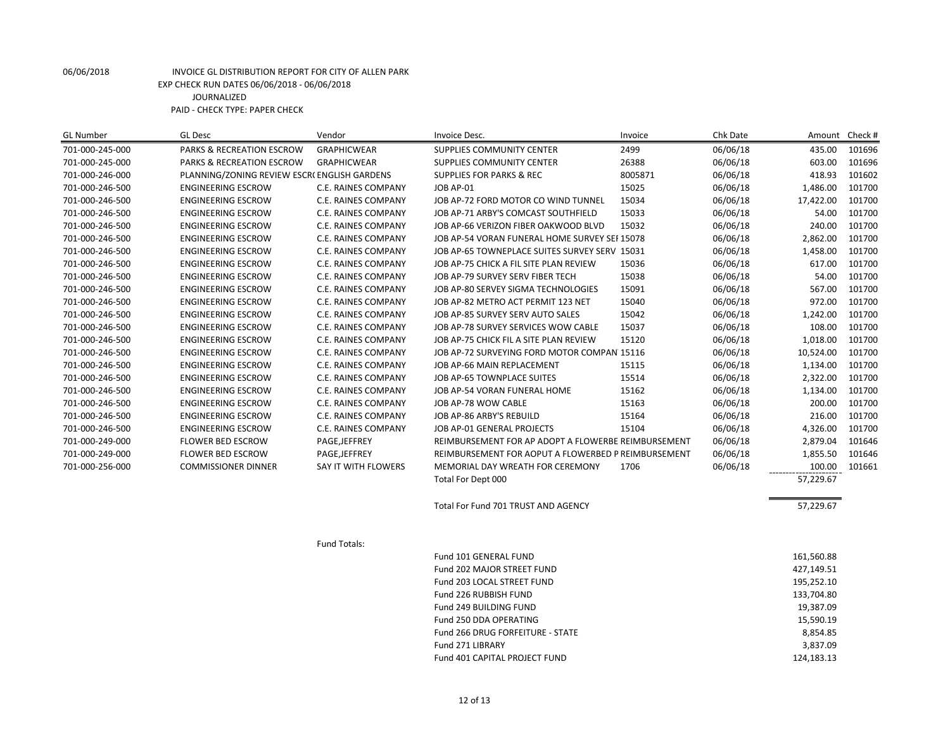| <b>GL Number</b> | <b>GL Desc</b>                              | Vendor                     | Invoice Desc.                                       | Invoice | Chk Date | Amount     | Check # |
|------------------|---------------------------------------------|----------------------------|-----------------------------------------------------|---------|----------|------------|---------|
| 701-000-245-000  | PARKS & RECREATION ESCROW                   | <b>GRAPHICWEAR</b>         | <b>SUPPLIES COMMUNITY CENTER</b>                    | 2499    | 06/06/18 | 435.00     | 101696  |
| 701-000-245-000  | PARKS & RECREATION ESCROW                   | <b>GRAPHICWEAR</b>         | SUPPLIES COMMUNITY CENTER                           | 26388   | 06/06/18 | 603.00     | 101696  |
| 701-000-246-000  | PLANNING/ZONING REVIEW ESCR(ENGLISH GARDENS |                            | <b>SUPPLIES FOR PARKS &amp; REC</b>                 | 8005871 | 06/06/18 | 418.93     | 101602  |
| 701-000-246-500  | <b>ENGINEERING ESCROW</b>                   | C.E. RAINES COMPANY        | JOB AP-01                                           | 15025   | 06/06/18 | 1,486.00   | 101700  |
| 701-000-246-500  | <b>ENGINEERING ESCROW</b>                   | C.E. RAINES COMPANY        | JOB AP-72 FORD MOTOR CO WIND TUNNEL                 | 15034   | 06/06/18 | 17,422.00  | 101700  |
| 701-000-246-500  | <b>ENGINEERING ESCROW</b>                   | C.E. RAINES COMPANY        | JOB AP-71 ARBY'S COMCAST SOUTHFIELD                 | 15033   | 06/06/18 | 54.00      | 101700  |
| 701-000-246-500  | <b>ENGINEERING ESCROW</b>                   | C.E. RAINES COMPANY        | JOB AP-66 VERIZON FIBER OAKWOOD BLVD                | 15032   | 06/06/18 | 240.00     | 101700  |
| 701-000-246-500  | <b>ENGINEERING ESCROW</b>                   | C.E. RAINES COMPANY        | JOB AP-54 VORAN FUNERAL HOME SURVEY SEI 15078       |         | 06/06/18 | 2,862.00   | 101700  |
| 701-000-246-500  | <b>ENGINEERING ESCROW</b>                   | C.E. RAINES COMPANY        | JOB AP-65 TOWNEPLACE SUITES SURVEY SERV 15031       |         | 06/06/18 | 1,458.00   | 101700  |
| 701-000-246-500  | <b>ENGINEERING ESCROW</b>                   | C.E. RAINES COMPANY        | JOB AP-75 CHICK A FIL SITE PLAN REVIEW              | 15036   | 06/06/18 | 617.00     | 101700  |
| 701-000-246-500  | <b>ENGINEERING ESCROW</b>                   | C.E. RAINES COMPANY        | JOB AP-79 SURVEY SERV FIBER TECH                    | 15038   | 06/06/18 | 54.00      | 101700  |
| 701-000-246-500  | <b>ENGINEERING ESCROW</b>                   | C.E. RAINES COMPANY        | JOB AP-80 SERVEY SIGMA TECHNOLOGIES                 | 15091   | 06/06/18 | 567.00     | 101700  |
| 701-000-246-500  | <b>ENGINEERING ESCROW</b>                   | C.E. RAINES COMPANY        | JOB AP-82 METRO ACT PERMIT 123 NET                  | 15040   | 06/06/18 | 972.00     | 101700  |
| 701-000-246-500  | <b>ENGINEERING ESCROW</b>                   | C.E. RAINES COMPANY        | JOB AP-85 SURVEY SERV AUTO SALES                    | 15042   | 06/06/18 | 1,242.00   | 101700  |
| 701-000-246-500  | <b>ENGINEERING ESCROW</b>                   | C.E. RAINES COMPANY        | JOB AP-78 SURVEY SERVICES WOW CABLE                 | 15037   | 06/06/18 | 108.00     | 101700  |
| 701-000-246-500  | <b>ENGINEERING ESCROW</b>                   | C.E. RAINES COMPANY        | JOB AP-75 CHICK FIL A SITE PLAN REVIEW              | 15120   | 06/06/18 | 1,018.00   | 101700  |
| 701-000-246-500  | <b>ENGINEERING ESCROW</b>                   | <b>C.E. RAINES COMPANY</b> | JOB AP-72 SURVEYING FORD MOTOR COMPAN 15116         |         | 06/06/18 | 10,524.00  | 101700  |
| 701-000-246-500  | <b>ENGINEERING ESCROW</b>                   | C.E. RAINES COMPANY        | JOB AP-66 MAIN REPLACEMENT                          | 15115   | 06/06/18 | 1,134.00   | 101700  |
| 701-000-246-500  | <b>ENGINEERING ESCROW</b>                   | C.E. RAINES COMPANY        | JOB AP-65 TOWNPLACE SUITES                          | 15514   | 06/06/18 | 2,322.00   | 101700  |
| 701-000-246-500  | <b>ENGINEERING ESCROW</b>                   | C.E. RAINES COMPANY        | JOB AP-54 VORAN FUNERAL HOME                        | 15162   | 06/06/18 | 1,134.00   | 101700  |
| 701-000-246-500  | <b>ENGINEERING ESCROW</b>                   | C.E. RAINES COMPANY        | JOB AP-78 WOW CABLE                                 | 15163   | 06/06/18 | 200.00     | 101700  |
| 701-000-246-500  | <b>ENGINEERING ESCROW</b>                   | C.E. RAINES COMPANY        | JOB AP-86 ARBY'S REBUILD                            | 15164   | 06/06/18 | 216.00     | 101700  |
| 701-000-246-500  | <b>ENGINEERING ESCROW</b>                   | C.E. RAINES COMPANY        | JOB AP-01 GENERAL PROJECTS                          | 15104   | 06/06/18 | 4,326.00   | 101700  |
| 701-000-249-000  | <b>FLOWER BED ESCROW</b>                    | PAGE, JEFFREY              | REIMBURSEMENT FOR AP ADOPT A FLOWERBE REIMBURSEMENT |         | 06/06/18 | 2,879.04   | 101646  |
| 701-000-249-000  | FLOWER BED ESCROW                           | PAGE, JEFFREY              | REIMBURSEMENT FOR AOPUT A FLOWERBED P REIMBURSEMENT |         | 06/06/18 | 1,855.50   | 101646  |
| 701-000-256-000  | <b>COMMISSIONER DINNER</b>                  | SAY IT WITH FLOWERS        | MEMORIAL DAY WREATH FOR CEREMONY                    | 1706    | 06/06/18 | 100.00     | 101661  |
|                  |                                             |                            | Total For Dept 000                                  |         |          | 57,229.67  |         |
|                  |                                             |                            | Total For Fund 701 TRUST AND AGENCY                 |         |          | 57,229.67  |         |
|                  |                                             | Fund Totals:               |                                                     |         |          |            |         |
|                  |                                             |                            | Fund 101 GENERAL FUND                               |         |          | 161,560.88 |         |
|                  |                                             |                            | <b>Fund 202 MAJOR STREET FUND</b>                   |         |          | 427,149.51 |         |
|                  |                                             |                            | Fund 203 LOCAL STREET FUND                          |         |          | 195,252.10 |         |
|                  |                                             |                            | Fund 226 RUBBISH FUND                               |         |          | 133,704.80 |         |
|                  |                                             |                            | Fund 249 BUILDING FUND                              |         |          | 19,387.09  |         |
|                  |                                             |                            | Fund 250 DDA OPERATING                              |         |          | 15,590.19  |         |

12 of 13

Fund 266 DRUG FORFEITURE - STATE 8,854.85 Fund 271 LIBRARY 3,837.09 Fund 401 CAPITAL PROJECT FUND 124,183.13